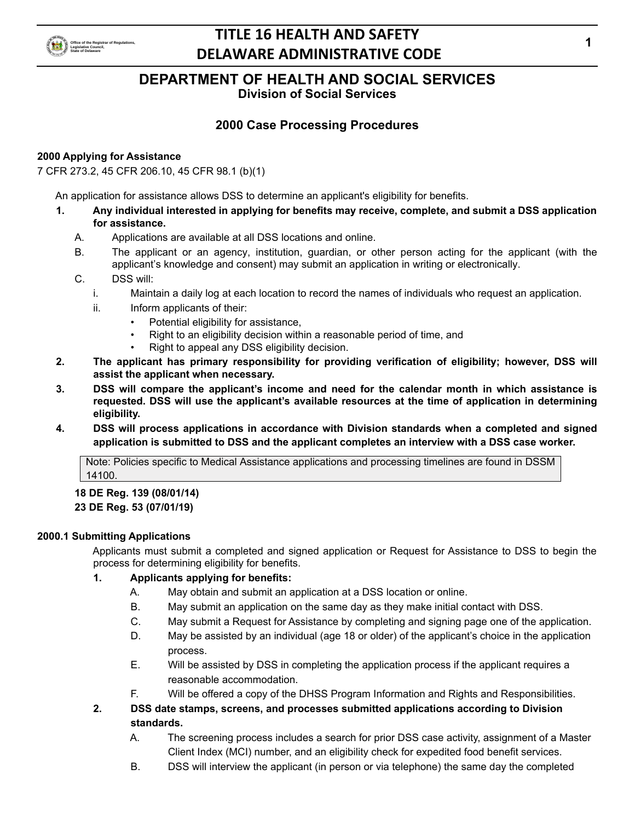

## **DEPARTMENT OF HEALTH AND SOCIAL SERVICES**

**Division of Social Services**

## **2000 Case Processing Procedures**

### **2000 Applying for Assistance**

7 CFR 273.2, 45 CFR 206.10, 45 CFR 98.1 (b)(1)

An application for assistance allows DSS to determine an applicant's eligibility for benefits.

- **1. Any individual interested in applying for benefits may receive, complete, and submit a DSS application for assistance.**
	- A. Applications are available at all DSS locations and online.
	- B. The applicant or an agency, institution, guardian, or other person acting for the applicant (with the applicant's knowledge and consent) may submit an application in writing or electronically.
	- C. DSS will:
		- i. Maintain a daily log at each location to record the names of individuals who request an application.
		- ii. Inform applicants of their:
			- Potential eligibility for assistance,
			- Right to an eligibility decision within a reasonable period of time, and
			- Right to appeal any DSS eligibility decision.
- **2. The applicant has primary responsibility for providing verification of eligibility; however, DSS will assist the applicant when necessary.**
- **3. DSS will compare the applicant's income and need for the calendar month in which assistance is requested. DSS will use the applicant's available resources at the time of application in determining eligibility.**
- **4. DSS will process applications in accordance with Division standards when a completed and signed application is submitted to DSS and the applicant completes an interview with a DSS case worker.**

Note: Policies specific to Medical Assistance applications and processing timelines are found in DSSM 14100.

# **18 DE Reg. 139 (08/01/14)**

## **23 DE Reg. 53 (07/01/19)**

### **2000.1 Submitting Applications**

Applicants must submit a completed and signed application or Request for Assistance to DSS to begin the process for determining eligibility for benefits.

## **1. Applicants applying for benefits:**

- A. May obtain and submit an application at a DSS location or online.
- B. May submit an application on the same day as they make initial contact with DSS.
- C. May submit a Request for Assistance by completing and signing page one of the application.
- D. May be assisted by an individual (age 18 or older) of the applicant's choice in the application process.
- E. Will be assisted by DSS in completing the application process if the applicant requires a reasonable accommodation.
- F. Will be offered a copy of the DHSS Program Information and Rights and Responsibilities.
- **2. DSS date stamps, screens, and processes submitted applications according to Division standards.**
	- A. The screening process includes a search for prior DSS case activity, assignment of a Master Client Index (MCI) number, and an eligibility check for expedited food benefit services.
	- B. DSS will interview the applicant (in person or via telephone) the same day the completed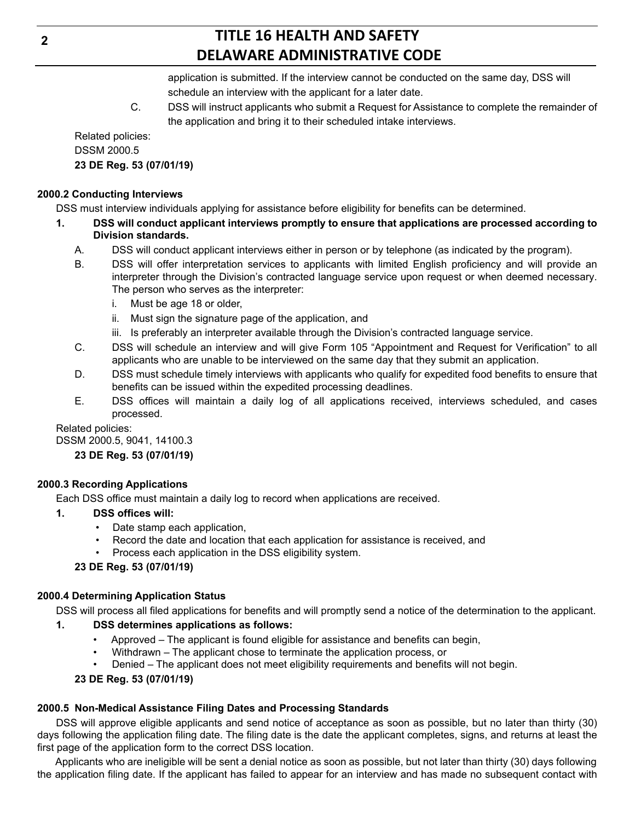application is submitted. If the interview cannot be conducted on the same day, DSS will schedule an interview with the applicant for a later date.

C. DSS will instruct applicants who submit a Request for Assistance to complete the remainder of the application and bring it to their scheduled intake interviews.

Related policies: DSSM 2000.5

## **23 DE Reg. 53 (07/01/19)**

### **2000.2 Conducting Interviews**

DSS must interview individuals applying for assistance before eligibility for benefits can be determined.

- **1. DSS will conduct applicant interviews promptly to ensure that applications are processed according to Division standards.**
	- A. DSS will conduct applicant interviews either in person or by telephone (as indicated by the program).
	- B. DSS will offer interpretation services to applicants with limited English proficiency and will provide an interpreter through the Division's contracted language service upon request or when deemed necessary. The person who serves as the interpreter:
		- i. Must be age 18 or older,
		- ii. Must sign the signature page of the application, and
		- iii. Is preferably an interpreter available through the Division's contracted language service.
	- C. DSS will schedule an interview and will give Form 105 "Appointment and Request for Verification" to all applicants who are unable to be interviewed on the same day that they submit an application.
	- D. DSS must schedule timely interviews with applicants who qualify for expedited food benefits to ensure that benefits can be issued within the expedited processing deadlines.
	- E. DSS offices will maintain a daily log of all applications received, interviews scheduled, and cases processed.

### Related policies:

DSSM 2000.5, 9041, 14100.3 **23 DE Reg. 53 (07/01/19)**

## **2000.3 Recording Applications**

Each DSS office must maintain a daily log to record when applications are received.

## **1. DSS offices will:**

- Date stamp each application,
- Record the date and location that each application for assistance is received, and
- Process each application in the DSS eligibility system.

## **23 DE Reg. 53 (07/01/19)**

## **2000.4 Determining Application Status**

DSS will process all filed applications for benefits and will promptly send a notice of the determination to the applicant.

## **1. DSS determines applications as follows:**

- Approved The applicant is found eligible for assistance and benefits can begin,
- Withdrawn The applicant chose to terminate the application process, or
- Denied The applicant does not meet eligibility requirements and benefits will not begin.

## **23 DE Reg. 53 (07/01/19)**

## **2000.5 Non-Medical Assistance Filing Dates and Processing Standards**

DSS will approve eligible applicants and send notice of acceptance as soon as possible, but no later than thirty (30) days following the application filing date. The filing date is the date the applicant completes, signs, and returns at least the first page of the application form to the correct DSS location.

Applicants who are ineligible will be sent a denial notice as soon as possible, but not later than thirty (30) days following the application filing date. If the applicant has failed to appear for an interview and has made no subsequent contact with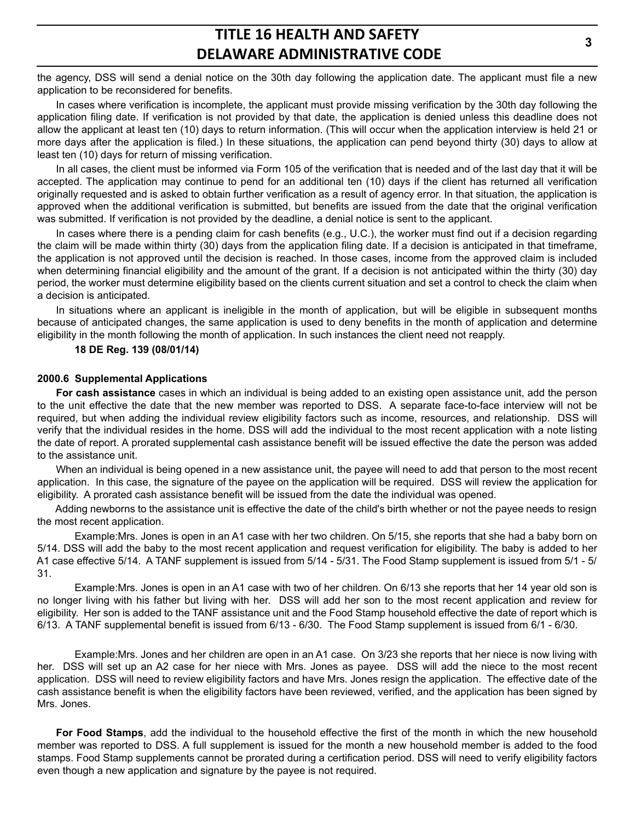the agency, DSS will send a denial notice on the 30th day following the application date. The applicant must file a new application to be reconsidered for benefits.

In cases where verification is incomplete, the applicant must provide missing verification by the 30th day following the application filing date. If verification is not provided by that date, the application is denied unless this deadline does not allow the applicant at least ten (10) days to return information. (This will occur when the application interview is held 21 or more days after the application is filed.) In these situations, the application can pend beyond thirty (30) days to allow at least ten (10) days for return of missing verification.

In all cases, the client must be informed via Form 105 of the verification that is needed and of the last day that it will be accepted. The application may continue to pend for an additional ten (10) days if the client has returned all verification originally requested and is asked to obtain further verification as a result of agency error. In that situation, the application is approved when the additional verification is submitted, but benefits are issued from the date that the original verification was submitted. If verification is not provided by the deadline, a denial notice is sent to the applicant.

In cases where there is a pending claim for cash benefits (e.g., U.C.), the worker must find out if a decision regarding the claim will be made within thirty (30) days from the application filing date. If a decision is anticipated in that timeframe, the application is not approved until the decision is reached. In those cases, income from the approved claim is included when determining financial eligibility and the amount of the grant. If a decision is not anticipated within the thirty (30) day period, the worker must determine eligibility based on the clients current situation and set a control to check the claim when a decision is anticipated.

In situations where an applicant is ineligible in the month of application, but will be eligible in subsequent months because of anticipated changes, the same application is used to deny benefits in the month of application and determine eligibility in the month following the month of application. In such instances the client need not reapply.

#### **18 DE Reg. 139 (08/01/14)**

#### **2000.6 Supplemental Applications**

**For cash assistance** cases in which an individual is being added to an existing open assistance unit, add the person to the unit effective the date that the new member was reported to DSS. A separate face-to-face interview will not be required, but when adding the individual review eligibility factors such as income, resources, and relationship. DSS will verify that the individual resides in the home. DSS will add the individual to the most recent application with a note listing the date of report. A prorated supplemental cash assistance benefit will be issued effective the date the person was added to the assistance unit.

When an individual is being opened in a new assistance unit, the payee will need to add that person to the most recent application. In this case, the signature of the payee on the application will be required. DSS will review the application for eligibility. A prorated cash assistance benefit will be issued from the date the individual was opened.

Adding newborns to the assistance unit is effective the date of the child's birth whether or not the payee needs to resign the most recent application.

Example:Mrs. Jones is open in an A1 case with her two children. On 5/15, she reports that she had a baby born on 5/14. DSS will add the baby to the most recent application and request verification for eligibility. The baby is added to her A1 case effective 5/14. A TANF supplement is issued from 5/14 - 5/31. The Food Stamp supplement is issued from 5/1 - 5/ 31.

Example:Mrs. Jones is open in an A1 case with two of her children. On 6/13 she reports that her 14 year old son is no longer living with his father but living with her. DSS will add her son to the most recent application and review for eligibility. Her son is added to the TANF assistance unit and the Food Stamp household effective the date of report which is 6/13. A TANF supplemental benefit is issued from 6/13 - 6/30. The Food Stamp supplement is issued from 6/1 - 6/30.

Example:Mrs. Jones and her children are open in an A1 case. On 3/23 she reports that her niece is now living with her. DSS will set up an A2 case for her niece with Mrs. Jones as payee. DSS will add the niece to the most recent application. DSS will need to review eligibility factors and have Mrs. Jones resign the application. The effective date of the cash assistance benefit is when the eligibility factors have been reviewed, verified, and the application has been signed by Mrs. Jones.

**For Food Stamps**, add the individual to the household effective the first of the month in which the new household member was reported to DSS. A full supplement is issued for the month a new household member is added to the food stamps. Food Stamp supplements cannot be prorated during a certification period. DSS will need to verify eligibility factors even though a new application and signature by the payee is not required.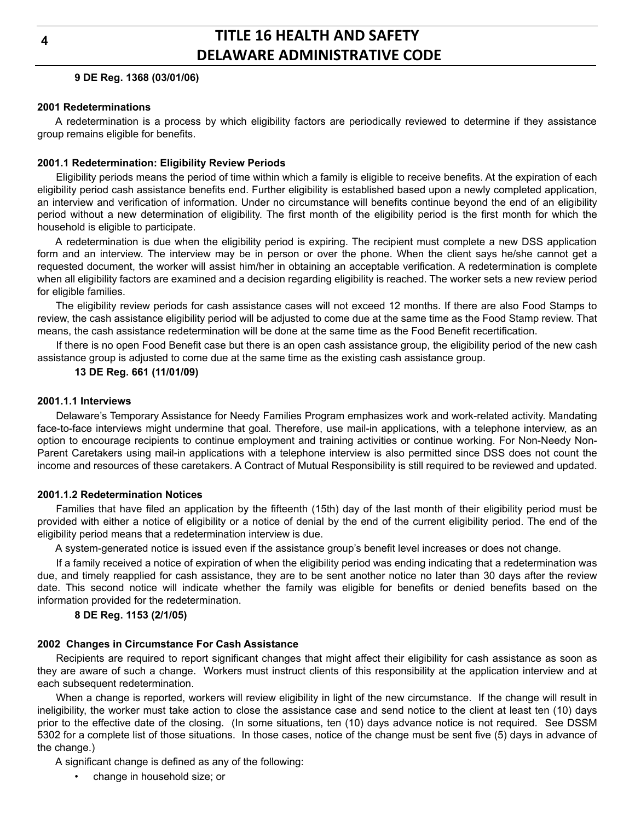**4**

## **TITLE 16 HEALTH AND SAFETY DELAWARE ADMINISTRATIVE CODE**

### **9 DE Reg. 1368 (03/01/06)**

### **2001 Redeterminations**

A redetermination is a process by which eligibility factors are periodically reviewed to determine if they assistance group remains eligible for benefits.

### **2001.1 Redetermination: Eligibility Review Periods**

Eligibility periods means the period of time within which a family is eligible to receive benefits. At the expiration of each eligibility period cash assistance benefits end. Further eligibility is established based upon a newly completed application, an interview and verification of information. Under no circumstance will benefits continue beyond the end of an eligibility period without a new determination of eligibility. The first month of the eligibility period is the first month for which the household is eligible to participate.

A redetermination is due when the eligibility period is expiring. The recipient must complete a new DSS application form and an interview. The interview may be in person or over the phone. When the client says he/she cannot get a requested document, the worker will assist him/her in obtaining an acceptable verification. A redetermination is complete when all eligibility factors are examined and a decision regarding eligibility is reached. The worker sets a new review period for eligible families.

The eligibility review periods for cash assistance cases will not exceed 12 months. If there are also Food Stamps to review, the cash assistance eligibility period will be adjusted to come due at the same time as the Food Stamp review. That means, the cash assistance redetermination will be done at the same time as the Food Benefit recertification.

If there is no open Food Benefit case but there is an open cash assistance group, the eligibility period of the new cash assistance group is adjusted to come due at the same time as the existing cash assistance group.

### **13 DE Reg. 661 (11/01/09)**

#### **2001.1.1 Interviews**

Delaware's Temporary Assistance for Needy Families Program emphasizes work and work-related activity. Mandating face-to-face interviews might undermine that goal. Therefore, use mail-in applications, with a telephone interview, as an option to encourage recipients to continue employment and training activities or continue working. For Non-Needy Non-Parent Caretakers using mail-in applications with a telephone interview is also permitted since DSS does not count the income and resources of these caretakers. A Contract of Mutual Responsibility is still required to be reviewed and updated.

### **2001.1.2 Redetermination Notices**

Families that have filed an application by the fifteenth (15th) day of the last month of their eligibility period must be provided with either a notice of eligibility or a notice of denial by the end of the current eligibility period. The end of the eligibility period means that a redetermination interview is due.

A system-generated notice is issued even if the assistance group's benefit level increases or does not change.

If a family received a notice of expiration of when the eligibility period was ending indicating that a redetermination was due, and timely reapplied for cash assistance, they are to be sent another notice no later than 30 days after the review date. This second notice will indicate whether the family was eligible for benefits or denied benefits based on the information provided for the redetermination.

### **8 DE Reg. 1153 (2/1/05)**

### **2002 Changes in Circumstance For Cash Assistance**

Recipients are required to report significant changes that might affect their eligibility for cash assistance as soon as they are aware of such a change. Workers must instruct clients of this responsibility at the application interview and at each subsequent redetermination.

When a change is reported, workers will review eligibility in light of the new circumstance. If the change will result in ineligibility, the worker must take action to close the assistance case and send notice to the client at least ten (10) days prior to the effective date of the closing. (In some situations, ten (10) days advance notice is not required. See DSSM 5302 for a complete list of those situations. In those cases, notice of the change must be sent five (5) days in advance of the change.)

A significant change is defined as any of the following:

• change in household size; or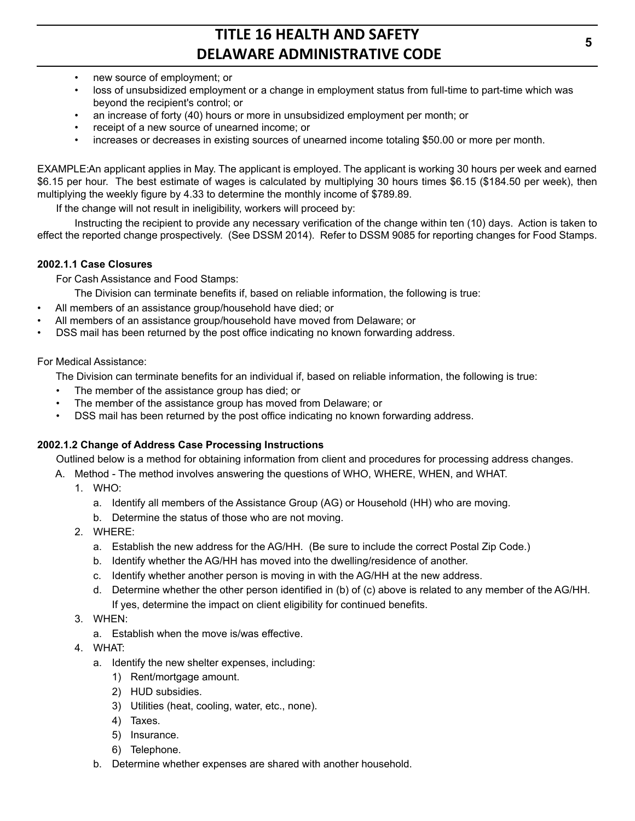- new source of employment; or
- loss of unsubsidized employment or a change in employment status from full-time to part-time which was beyond the recipient's control; or
- an increase of forty (40) hours or more in unsubsidized employment per month; or
- receipt of a new source of unearned income; or
- increases or decreases in existing sources of unearned income totaling \$50.00 or more per month.

EXAMPLE:An applicant applies in May. The applicant is employed. The applicant is working 30 hours per week and earned \$6.15 per hour. The best estimate of wages is calculated by multiplying 30 hours times \$6.15 (\$184.50 per week), then multiplying the weekly figure by 4.33 to determine the monthly income of \$789.89.

If the change will not result in ineligibility, workers will proceed by:

Instructing the recipient to provide any necessary verification of the change within ten (10) days. Action is taken to effect the reported change prospectively. (See DSSM 2014). Refer to DSSM 9085 for reporting changes for Food Stamps.

### **2002.1.1 Case Closures**

For Cash Assistance and Food Stamps:

The Division can terminate benefits if, based on reliable information, the following is true:

- All members of an assistance group/household have died; or
- All members of an assistance group/household have moved from Delaware; or
- DSS mail has been returned by the post office indicating no known forwarding address.

### For Medical Assistance:

The Division can terminate benefits for an individual if, based on reliable information, the following is true:

- The member of the assistance group has died; or
- The member of the assistance group has moved from Delaware; or
- DSS mail has been returned by the post office indicating no known forwarding address.

## **2002.1.2 Change of Address Case Processing Instructions**

Outlined below is a method for obtaining information from client and procedures for processing address changes.

- A. Method The method involves answering the questions of WHO, WHERE, WHEN, and WHAT.
	- 1. WHO:
		- a. Identify all members of the Assistance Group (AG) or Household (HH) who are moving.
		- b. Determine the status of those who are not moving.
	- 2. WHERE:
		- a. Establish the new address for the AG/HH. (Be sure to include the correct Postal Zip Code.)
		- b. Identify whether the AG/HH has moved into the dwelling/residence of another.
		- c. Identify whether another person is moving in with the AG/HH at the new address.
		- d. Determine whether the other person identified in (b) of (c) above is related to any member of the AG/HH. If yes, determine the impact on client eligibility for continued benefits.
	- 3. WHEN:
		- a. Establish when the move is/was effective.
	- 4. WHAT:
		- a. Identify the new shelter expenses, including:
			- 1) Rent/mortgage amount.
			- 2) HUD subsidies.
			- 3) Utilities (heat, cooling, water, etc., none).
			- 4) Taxes.
			- 5) Insurance.
			- 6) Telephone.
		- b. Determine whether expenses are shared with another household.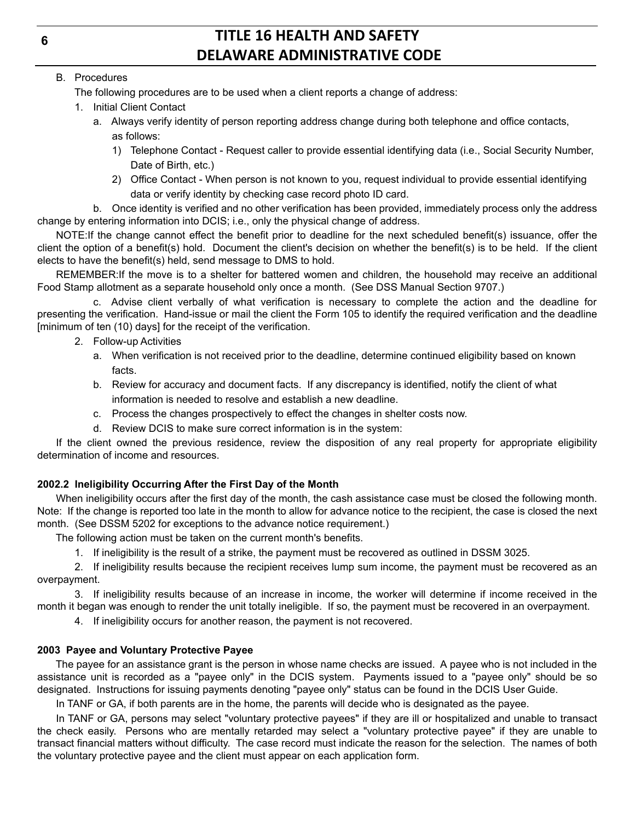### B. Procedures

The following procedures are to be used when a client reports a change of address:

- 1. Initial Client Contact
	- a. Always verify identity of person reporting address change during both telephone and office contacts, as follows:
		- 1) Telephone Contact Request caller to provide essential identifying data (i.e., Social Security Number, Date of Birth, etc.)
		- 2) Office Contact When person is not known to you, request individual to provide essential identifying data or verify identity by checking case record photo ID card.

b. Once identity is verified and no other verification has been provided, immediately process only the address change by entering information into DCIS; i.e., only the physical change of address.

NOTE:If the change cannot effect the benefit prior to deadline for the next scheduled benefit(s) issuance, offer the client the option of a benefit(s) hold. Document the client's decision on whether the benefit(s) is to be held. If the client elects to have the benefit(s) held, send message to DMS to hold.

REMEMBER:If the move is to a shelter for battered women and children, the household may receive an additional Food Stamp allotment as a separate household only once a month. (See DSS Manual Section 9707.)

c. Advise client verbally of what verification is necessary to complete the action and the deadline for presenting the verification. Hand-issue or mail the client the Form 105 to identify the required verification and the deadline [minimum of ten (10) days] for the receipt of the verification.

- 2. Follow-up Activities
	- a. When verification is not received prior to the deadline, determine continued eligibility based on known facts.
	- b. Review for accuracy and document facts. If any discrepancy is identified, notify the client of what information is needed to resolve and establish a new deadline.
	- c. Process the changes prospectively to effect the changes in shelter costs now.
	- d. Review DCIS to make sure correct information is in the system:

If the client owned the previous residence, review the disposition of any real property for appropriate eligibility determination of income and resources.

## **2002.2 Ineligibility Occurring After the First Day of the Month**

When ineligibility occurs after the first day of the month, the cash assistance case must be closed the following month. Note: If the change is reported too late in the month to allow for advance notice to the recipient, the case is closed the next month. (See DSSM 5202 for exceptions to the advance notice requirement.)

The following action must be taken on the current month's benefits.

1. If ineligibility is the result of a strike, the payment must be recovered as outlined in DSSM 3025.

2. If ineligibility results because the recipient receives lump sum income, the payment must be recovered as an overpayment.

3. If ineligibility results because of an increase in income, the worker will determine if income received in the month it began was enough to render the unit totally ineligible. If so, the payment must be recovered in an overpayment.

4. If ineligibility occurs for another reason, the payment is not recovered.

## **2003 Payee and Voluntary Protective Payee**

The payee for an assistance grant is the person in whose name checks are issued. A payee who is not included in the assistance unit is recorded as a "payee only" in the DCIS system. Payments issued to a "payee only" should be so designated. Instructions for issuing payments denoting "payee only" status can be found in the DCIS User Guide.

In TANF or GA, if both parents are in the home, the parents will decide who is designated as the payee.

In TANF or GA, persons may select "voluntary protective payees" if they are ill or hospitalized and unable to transact the check easily. Persons who are mentally retarded may select a "voluntary protective payee" if they are unable to transact financial matters without difficulty. The case record must indicate the reason for the selection. The names of both the voluntary protective payee and the client must appear on each application form.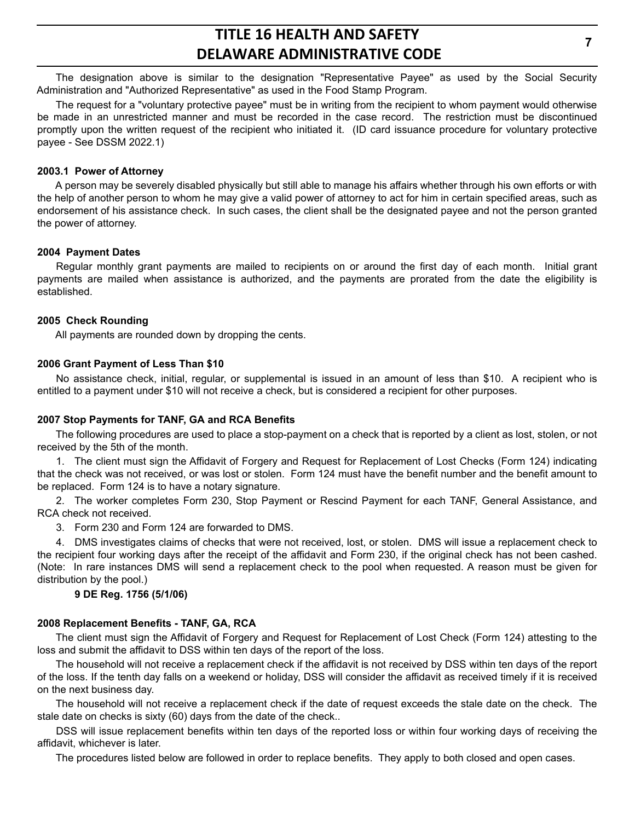The designation above is similar to the designation "Representative Payee" as used by the Social Security Administration and "Authorized Representative" as used in the Food Stamp Program.

The request for a "voluntary protective payee" must be in writing from the recipient to whom payment would otherwise be made in an unrestricted manner and must be recorded in the case record. The restriction must be discontinued promptly upon the written request of the recipient who initiated it. (ID card issuance procedure for voluntary protective payee - See DSSM 2022.1)

#### **2003.1 Power of Attorney**

A person may be severely disabled physically but still able to manage his affairs whether through his own efforts or with the help of another person to whom he may give a valid power of attorney to act for him in certain specified areas, such as endorsement of his assistance check. In such cases, the client shall be the designated payee and not the person granted the power of attorney.

#### **2004 Payment Dates**

Regular monthly grant payments are mailed to recipients on or around the first day of each month. Initial grant payments are mailed when assistance is authorized, and the payments are prorated from the date the eligibility is established.

#### **2005 Check Rounding**

All payments are rounded down by dropping the cents.

#### **2006 Grant Payment of Less Than \$10**

No assistance check, initial, regular, or supplemental is issued in an amount of less than \$10. A recipient who is entitled to a payment under \$10 will not receive a check, but is considered a recipient for other purposes.

#### **2007 Stop Payments for TANF, GA and RCA Benefits**

The following procedures are used to place a stop-payment on a check that is reported by a client as lost, stolen, or not received by the 5th of the month.

1. The client must sign the Affidavit of Forgery and Request for Replacement of Lost Checks (Form 124) indicating that the check was not received, or was lost or stolen. Form 124 must have the benefit number and the benefit amount to be replaced. Form 124 is to have a notary signature.

2. The worker completes Form 230, Stop Payment or Rescind Payment for each TANF, General Assistance, and RCA check not received.

3. Form 230 and Form 124 are forwarded to DMS.

4. DMS investigates claims of checks that were not received, lost, or stolen. DMS will issue a replacement check to the recipient four working days after the receipt of the affidavit and Form 230, if the original check has not been cashed. (Note: In rare instances DMS will send a replacement check to the pool when requested. A reason must be given for distribution by the pool.)

### **9 DE Reg. 1756 (5/1/06)**

#### **2008 Replacement Benefits - TANF, GA, RCA**

The client must sign the Affidavit of Forgery and Request for Replacement of Lost Check (Form 124) attesting to the loss and submit the affidavit to DSS within ten days of the report of the loss.

The household will not receive a replacement check if the affidavit is not received by DSS within ten days of the report of the loss. If the tenth day falls on a weekend or holiday, DSS will consider the affidavit as received timely if it is received on the next business day.

The household will not receive a replacement check if the date of request exceeds the stale date on the check. The stale date on checks is sixty (60) days from the date of the check..

DSS will issue replacement benefits within ten days of the reported loss or within four working days of receiving the affidavit, whichever is later.

The procedures listed below are followed in order to replace benefits. They apply to both closed and open cases.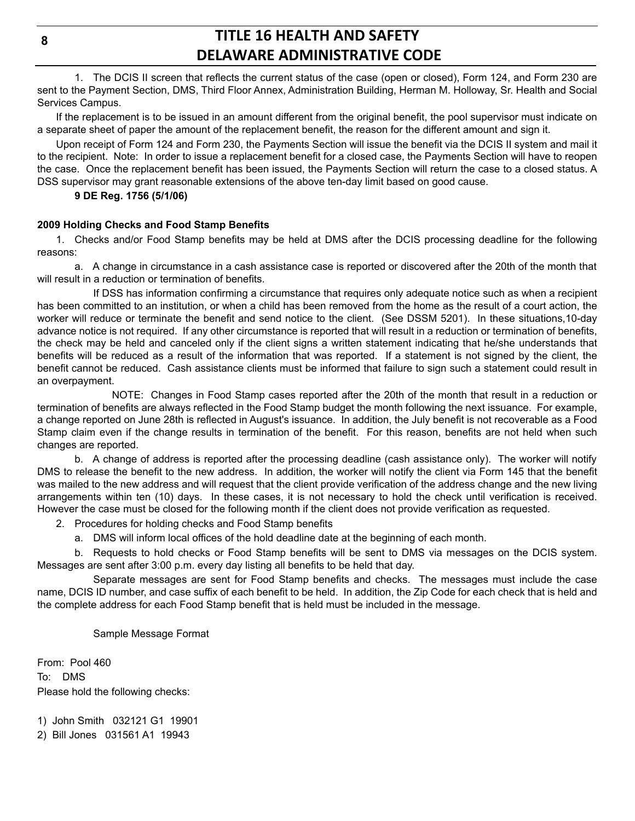**8**

## **TITLE 16 HEALTH AND SAFETY DELAWARE ADMINISTRATIVE CODE**

1. The DCIS II screen that reflects the current status of the case (open or closed), Form 124, and Form 230 are sent to the Payment Section, DMS, Third Floor Annex, Administration Building, Herman M. Holloway, Sr. Health and Social Services Campus.

If the replacement is to be issued in an amount different from the original benefit, the pool supervisor must indicate on a separate sheet of paper the amount of the replacement benefit, the reason for the different amount and sign it.

Upon receipt of Form 124 and Form 230, the Payments Section will issue the benefit via the DCIS II system and mail it to the recipient. Note: In order to issue a replacement benefit for a closed case, the Payments Section will have to reopen the case. Once the replacement benefit has been issued, the Payments Section will return the case to a closed status. A DSS supervisor may grant reasonable extensions of the above ten-day limit based on good cause.

### **9 DE Reg. 1756 (5/1/06)**

### **2009 Holding Checks and Food Stamp Benefits**

1. Checks and/or Food Stamp benefits may be held at DMS after the DCIS processing deadline for the following reasons:

a. A change in circumstance in a cash assistance case is reported or discovered after the 20th of the month that will result in a reduction or termination of benefits.

If DSS has information confirming a circumstance that requires only adequate notice such as when a recipient has been committed to an institution, or when a child has been removed from the home as the result of a court action, the worker will reduce or terminate the benefit and send notice to the client. (See DSSM 5201). In these situations,10-day advance notice is not required. If any other circumstance is reported that will result in a reduction or termination of benefits, the check may be held and canceled only if the client signs a written statement indicating that he/she understands that benefits will be reduced as a result of the information that was reported. If a statement is not signed by the client, the benefit cannot be reduced. Cash assistance clients must be informed that failure to sign such a statement could result in an overpayment.

NOTE: Changes in Food Stamp cases reported after the 20th of the month that result in a reduction or termination of benefits are always reflected in the Food Stamp budget the month following the next issuance. For example, a change reported on June 28th is reflected in August's issuance. In addition, the July benefit is not recoverable as a Food Stamp claim even if the change results in termination of the benefit. For this reason, benefits are not held when such changes are reported.

b. A change of address is reported after the processing deadline (cash assistance only). The worker will notify DMS to release the benefit to the new address. In addition, the worker will notify the client via Form 145 that the benefit was mailed to the new address and will request that the client provide verification of the address change and the new living arrangements within ten (10) days. In these cases, it is not necessary to hold the check until verification is received. However the case must be closed for the following month if the client does not provide verification as requested.

2. Procedures for holding checks and Food Stamp benefits

a. DMS will inform local offices of the hold deadline date at the beginning of each month.

b. Requests to hold checks or Food Stamp benefits will be sent to DMS via messages on the DCIS system. Messages are sent after 3:00 p.m. every day listing all benefits to be held that day.

Separate messages are sent for Food Stamp benefits and checks. The messages must include the case name, DCIS ID number, and case suffix of each benefit to be held. In addition, the Zip Code for each check that is held and the complete address for each Food Stamp benefit that is held must be included in the message.

Sample Message Format

From: Pool 460 To: DMS Please hold the following checks:

1) John Smith 032121 G1 19901 2) Bill Jones 031561 A1 19943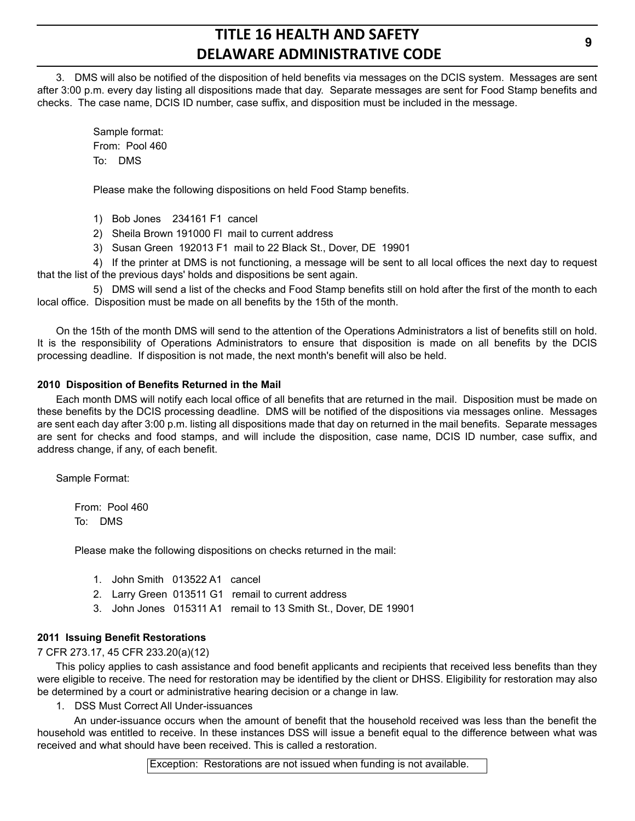3. DMS will also be notified of the disposition of held benefits via messages on the DCIS system. Messages are sent after 3:00 p.m. every day listing all dispositions made that day. Separate messages are sent for Food Stamp benefits and checks. The case name, DCIS ID number, case suffix, and disposition must be included in the message.

> Sample format: From: Pool 460 To: DMS

Please make the following dispositions on held Food Stamp benefits.

1) Bob Jones 234161 F1 cancel

2) Sheila Brown 191000 Fl mail to current address

3) Susan Green 192013 F1 mail to 22 Black St., Dover, DE 19901

4) If the printer at DMS is not functioning, a message will be sent to all local offices the next day to request that the list of the previous days' holds and dispositions be sent again.

5) DMS will send a list of the checks and Food Stamp benefits still on hold after the first of the month to each local office. Disposition must be made on all benefits by the 15th of the month.

On the 15th of the month DMS will send to the attention of the Operations Administrators a list of benefits still on hold. It is the responsibility of Operations Administrators to ensure that disposition is made on all benefits by the DCIS processing deadline. If disposition is not made, the next month's benefit will also be held.

#### **2010 Disposition of Benefits Returned in the Mail**

Each month DMS will notify each local office of all benefits that are returned in the mail. Disposition must be made on these benefits by the DCIS processing deadline. DMS will be notified of the dispositions via messages online. Messages are sent each day after 3:00 p.m. listing all dispositions made that day on returned in the mail benefits. Separate messages are sent for checks and food stamps, and will include the disposition, case name, DCIS ID number, case suffix, and address change, if any, of each benefit.

Sample Format:

From: Pool 460 To: DMS

Please make the following dispositions on checks returned in the mail:

- 1. John Smith 013522 A1 cancel
- 2. Larry Green 013511 G1 remail to current address
- 3. John Jones 015311 A1 remail to 13 Smith St., Dover, DE 19901

### **2011 Issuing Benefit Restorations**

7 CFR 273.17, 45 CFR 233.20(a)(12)

This policy applies to cash assistance and food benefit applicants and recipients that received less benefits than they were eligible to receive. The need for restoration may be identified by the client or DHSS. Eligibility for restoration may also be determined by a court or administrative hearing decision or a change in law.

1. DSS Must Correct All Under-issuances

An under-issuance occurs when the amount of benefit that the household received was less than the benefit the household was entitled to receive. In these instances DSS will issue a benefit equal to the difference between what was received and what should have been received. This is called a restoration.

Exception: Restorations are not issued when funding is not available.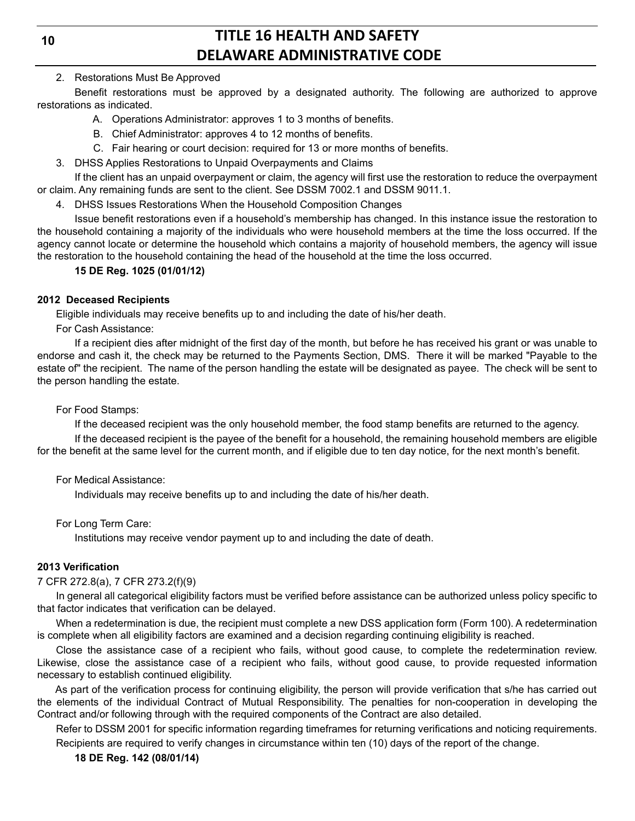**10**

## **TITLE 16 HEALTH AND SAFETY DELAWARE ADMINISTRATIVE CODE**

### 2. Restorations Must Be Approved

Benefit restorations must be approved by a designated authority. The following are authorized to approve restorations as indicated.

- A. Operations Administrator: approves 1 to 3 months of benefits.
- B. Chief Administrator: approves 4 to 12 months of benefits.
- C. Fair hearing or court decision: required for 13 or more months of benefits.
- 3. DHSS Applies Restorations to Unpaid Overpayments and Claims

If the client has an unpaid overpayment or claim, the agency will first use the restoration to reduce the overpayment or claim. Any remaining funds are sent to the client. See DSSM 7002.1 and DSSM 9011.1.

4. DHSS Issues Restorations When the Household Composition Changes

Issue benefit restorations even if a household's membership has changed. In this instance issue the restoration to the household containing a majority of the individuals who were household members at the time the loss occurred. If the agency cannot locate or determine the household which contains a majority of household members, the agency will issue the restoration to the household containing the head of the household at the time the loss occurred.

## **15 DE Reg. 1025 (01/01/12)**

### **2012 Deceased Recipients**

Eligible individuals may receive benefits up to and including the date of his/her death.

For Cash Assistance:

If a recipient dies after midnight of the first day of the month, but before he has received his grant or was unable to endorse and cash it, the check may be returned to the Payments Section, DMS. There it will be marked "Payable to the estate of" the recipient. The name of the person handling the estate will be designated as payee. The check will be sent to the person handling the estate.

For Food Stamps:

If the deceased recipient was the only household member, the food stamp benefits are returned to the agency.

If the deceased recipient is the payee of the benefit for a household, the remaining household members are eligible for the benefit at the same level for the current month, and if eligible due to ten day notice, for the next month's benefit.

### For Medical Assistance:

Individuals may receive benefits up to and including the date of his/her death.

For Long Term Care:

Institutions may receive vendor payment up to and including the date of death.

### **2013 Verification**

### 7 CFR 272.8(a), 7 CFR 273.2(f)(9)

In general all categorical eligibility factors must be verified before assistance can be authorized unless policy specific to that factor indicates that verification can be delayed.

When a redetermination is due, the recipient must complete a new DSS application form (Form 100). A redetermination is complete when all eligibility factors are examined and a decision regarding continuing eligibility is reached.

Close the assistance case of a recipient who fails, without good cause, to complete the redetermination review. Likewise, close the assistance case of a recipient who fails, without good cause, to provide requested information necessary to establish continued eligibility.

As part of the verification process for continuing eligibility, the person will provide verification that s/he has carried out the elements of the individual Contract of Mutual Responsibility. The penalties for non-cooperation in developing the Contract and/or following through with the required components of the Contract are also detailed.

Refer to DSSM 2001 for specific information regarding timeframes for returning verifications and noticing requirements. Recipients are required to verify changes in circumstance within ten (10) days of the report of the change.

### **18 DE Reg. 142 (08/01/14)**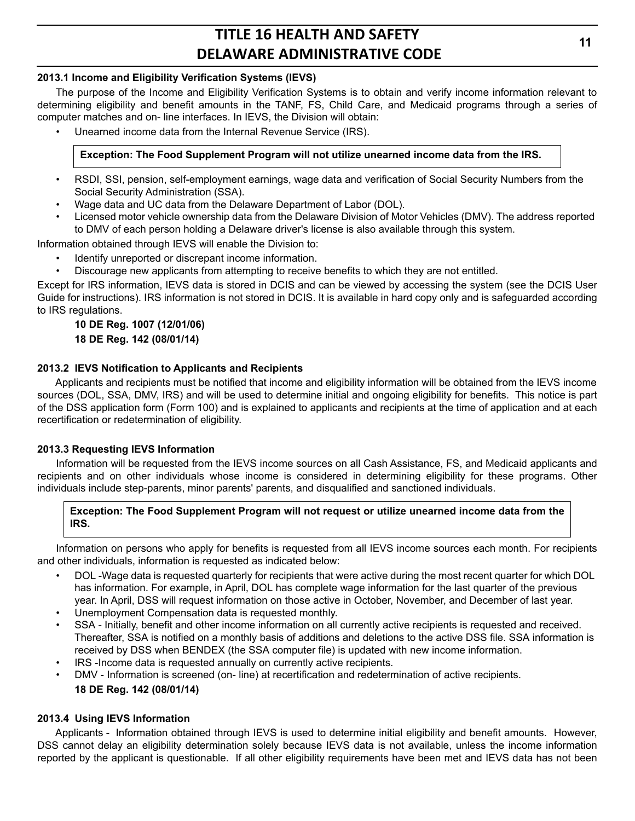### **2013.1 Income and Eligibility Verification Systems (IEVS)**

The purpose of the Income and Eligibility Verification Systems is to obtain and verify income information relevant to determining eligibility and benefit amounts in the TANF, FS, Child Care, and Medicaid programs through a series of computer matches and on- line interfaces. In IEVS, the Division will obtain:

• Unearned income data from the Internal Revenue Service (IRS).

## **Exception: The Food Supplement Program will not utilize unearned income data from the IRS.**

- RSDI, SSI, pension, self-employment earnings, wage data and verification of Social Security Numbers from the Social Security Administration (SSA).
- Wage data and UC data from the Delaware Department of Labor (DOL).
- Licensed motor vehicle ownership data from the Delaware Division of Motor Vehicles (DMV). The address reported to DMV of each person holding a Delaware driver's license is also available through this system.

Information obtained through IEVS will enable the Division to:

- Identify unreported or discrepant income information.
- Discourage new applicants from attempting to receive benefits to which they are not entitled.

Except for IRS information, IEVS data is stored in DCIS and can be viewed by accessing the system (see the DCIS User Guide for instructions). IRS information is not stored in DCIS. It is available in hard copy only and is safeguarded according to IRS regulations.

### **10 DE Reg. 1007 (12/01/06) 18 DE Reg. 142 (08/01/14)**

### **2013.2 IEVS Notification to Applicants and Recipients**

Applicants and recipients must be notified that income and eligibility information will be obtained from the IEVS income sources (DOL, SSA, DMV, IRS) and will be used to determine initial and ongoing eligibility for benefits. This notice is part of the DSS application form (Form 100) and is explained to applicants and recipients at the time of application and at each recertification or redetermination of eligibility.

### **2013.3 Requesting IEVS Information**

Information will be requested from the IEVS income sources on all Cash Assistance, FS, and Medicaid applicants and recipients and on other individuals whose income is considered in determining eligibility for these programs. Other individuals include step-parents, minor parents' parents, and disqualified and sanctioned individuals.

### **Exception: The Food Supplement Program will not request or utilize unearned income data from the IRS.**

Information on persons who apply for benefits is requested from all IEVS income sources each month. For recipients and other individuals, information is requested as indicated below:

- DOL -Wage data is requested quarterly for recipients that were active during the most recent quarter for which DOL has information. For example, in April, DOL has complete wage information for the last quarter of the previous year. In April, DSS will request information on those active in October, November, and December of last year.
- Unemployment Compensation data is requested monthly.
- SSA Initially, benefit and other income information on all currently active recipients is requested and received. Thereafter, SSA is notified on a monthly basis of additions and deletions to the active DSS file. SSA information is received by DSS when BENDEX (the SSA computer file) is updated with new income information.
- IRS -Income data is requested annually on currently active recipients.
- DMV Information is screened (on- line) at recertification and redetermination of active recipients. **18 DE Reg. 142 (08/01/14)**

### **2013.4 Using IEVS Information**

Applicants - Information obtained through IEVS is used to determine initial eligibility and benefit amounts. However, DSS cannot delay an eligibility determination solely because IEVS data is not available, unless the income information reported by the applicant is questionable. If all other eligibility requirements have been met and IEVS data has not been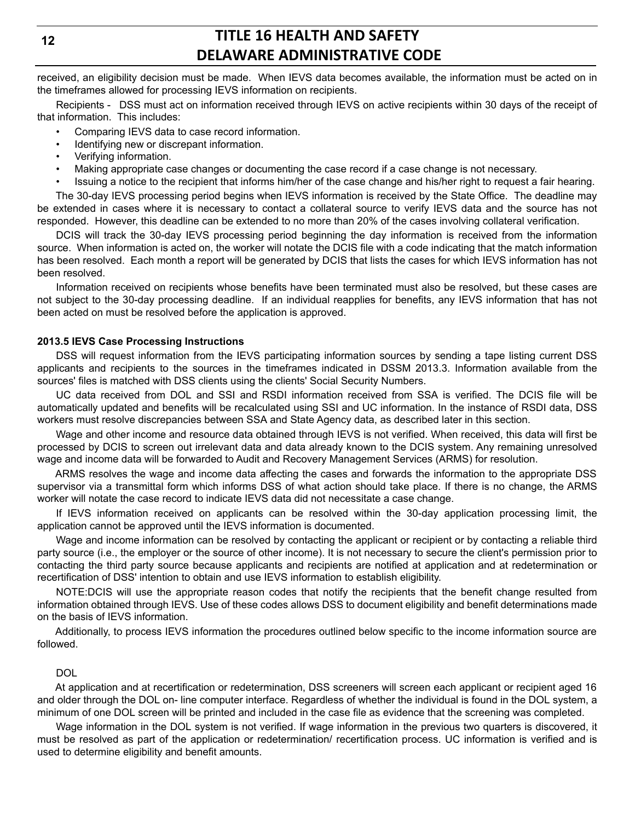**12**

## **TITLE 16 HEALTH AND SAFETY DELAWARE ADMINISTRATIVE CODE**

received, an eligibility decision must be made. When IEVS data becomes available, the information must be acted on in the timeframes allowed for processing IEVS information on recipients.

Recipients - DSS must act on information received through IEVS on active recipients within 30 days of the receipt of that information. This includes:

- Comparing IEVS data to case record information.
- Identifying new or discrepant information.
- Verifying information.
- Making appropriate case changes or documenting the case record if a case change is not necessary.
- Issuing a notice to the recipient that informs him/her of the case change and his/her right to request a fair hearing.

The 30-day IEVS processing period begins when IEVS information is received by the State Office. The deadline may be extended in cases where it is necessary to contact a collateral source to verify IEVS data and the source has not responded. However, this deadline can be extended to no more than 20% of the cases involving collateral verification.

DCIS will track the 30-day IEVS processing period beginning the day information is received from the information source. When information is acted on, the worker will notate the DCIS file with a code indicating that the match information has been resolved. Each month a report will be generated by DCIS that lists the cases for which IEVS information has not been resolved.

Information received on recipients whose benefits have been terminated must also be resolved, but these cases are not subject to the 30-day processing deadline. If an individual reapplies for benefits, any IEVS information that has not been acted on must be resolved before the application is approved.

### **2013.5 IEVS Case Processing Instructions**

DSS will request information from the IEVS participating information sources by sending a tape listing current DSS applicants and recipients to the sources in the timeframes indicated in DSSM 2013.3. Information available from the sources' files is matched with DSS clients using the clients' Social Security Numbers.

UC data received from DOL and SSI and RSDI information received from SSA is verified. The DCIS file will be automatically updated and benefits will be recalculated using SSI and UC information. In the instance of RSDI data, DSS workers must resolve discrepancies between SSA and State Agency data, as described later in this section.

Wage and other income and resource data obtained through IEVS is not verified. When received, this data will first be processed by DCIS to screen out irrelevant data and data already known to the DCIS system. Any remaining unresolved wage and income data will be forwarded to Audit and Recovery Management Services (ARMS) for resolution.

ARMS resolves the wage and income data affecting the cases and forwards the information to the appropriate DSS supervisor via a transmittal form which informs DSS of what action should take place. If there is no change, the ARMS worker will notate the case record to indicate IEVS data did not necessitate a case change.

If IEVS information received on applicants can be resolved within the 30-day application processing limit, the application cannot be approved until the IEVS information is documented.

Wage and income information can be resolved by contacting the applicant or recipient or by contacting a reliable third party source (i.e., the employer or the source of other income). It is not necessary to secure the client's permission prior to contacting the third party source because applicants and recipients are notified at application and at redetermination or recertification of DSS' intention to obtain and use IEVS information to establish eligibility.

NOTE:DCIS will use the appropriate reason codes that notify the recipients that the benefit change resulted from information obtained through IEVS. Use of these codes allows DSS to document eligibility and benefit determinations made on the basis of IEVS information.

Additionally, to process IEVS information the procedures outlined below specific to the income information source are followed.

### DOL

At application and at recertification or redetermination, DSS screeners will screen each applicant or recipient aged 16 and older through the DOL on- line computer interface. Regardless of whether the individual is found in the DOL system, a minimum of one DOL screen will be printed and included in the case file as evidence that the screening was completed.

Wage information in the DOL system is not verified. If wage information in the previous two quarters is discovered, it must be resolved as part of the application or redetermination/ recertification process. UC information is verified and is used to determine eligibility and benefit amounts.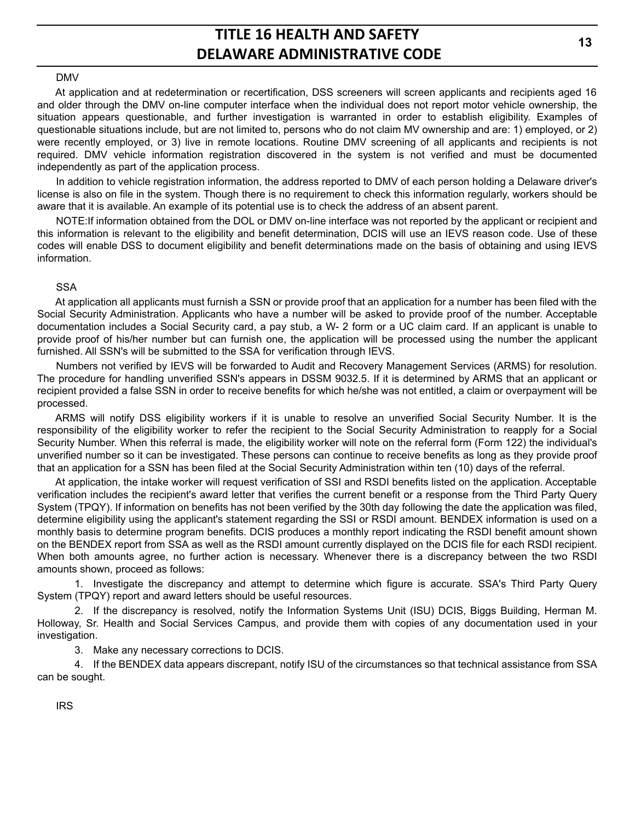#### DMV

At application and at redetermination or recertification, DSS screeners will screen applicants and recipients aged 16 and older through the DMV on-line computer interface when the individual does not report motor vehicle ownership, the situation appears questionable, and further investigation is warranted in order to establish eligibility. Examples of questionable situations include, but are not limited to, persons who do not claim MV ownership and are: 1) employed, or 2) were recently employed, or 3) live in remote locations. Routine DMV screening of all applicants and recipients is not required. DMV vehicle information registration discovered in the system is not verified and must be documented independently as part of the application process.

In addition to vehicle registration information, the address reported to DMV of each person holding a Delaware driver's license is also on file in the system. Though there is no requirement to check this information regularly, workers should be aware that it is available. An example of its potential use is to check the address of an absent parent.

NOTE:If information obtained from the DOL or DMV on-line interface was not reported by the applicant or recipient and this information is relevant to the eligibility and benefit determination, DCIS will use an IEVS reason code. Use of these codes will enable DSS to document eligibility and benefit determinations made on the basis of obtaining and using IEVS information.

#### **SSA**

At application all applicants must furnish a SSN or provide proof that an application for a number has been filed with the Social Security Administration. Applicants who have a number will be asked to provide proof of the number. Acceptable documentation includes a Social Security card, a pay stub, a W- 2 form or a UC claim card. If an applicant is unable to provide proof of his/her number but can furnish one, the application will be processed using the number the applicant furnished. All SSN's will be submitted to the SSA for verification through IEVS.

Numbers not verified by IEVS will be forwarded to Audit and Recovery Management Services (ARMS) for resolution. The procedure for handling unverified SSN's appears in DSSM 9032.5. If it is determined by ARMS that an applicant or recipient provided a false SSN in order to receive benefits for which he/she was not entitled, a claim or overpayment will be processed.

ARMS will notify DSS eligibility workers if it is unable to resolve an unverified Social Security Number. It is the responsibility of the eligibility worker to refer the recipient to the Social Security Administration to reapply for a Social Security Number. When this referral is made, the eligibility worker will note on the referral form (Form 122) the individual's unverified number so it can be investigated. These persons can continue to receive benefits as long as they provide proof that an application for a SSN has been filed at the Social Security Administration within ten (10) days of the referral.

At application, the intake worker will request verification of SSI and RSDI benefits listed on the application. Acceptable verification includes the recipient's award letter that verifies the current benefit or a response from the Third Party Query System (TPQY). If information on benefits has not been verified by the 30th day following the date the application was filed, determine eligibility using the applicant's statement regarding the SSI or RSDI amount. BENDEX information is used on a monthly basis to determine program benefits. DCIS produces a monthly report indicating the RSDI benefit amount shown on the BENDEX report from SSA as well as the RSDI amount currently displayed on the DCIS file for each RSDI recipient. When both amounts agree, no further action is necessary. Whenever there is a discrepancy between the two RSDI amounts shown, proceed as follows:

1. Investigate the discrepancy and attempt to determine which figure is accurate. SSA's Third Party Query System (TPQY) report and award letters should be useful resources.

2. If the discrepancy is resolved, notify the Information Systems Unit (ISU) DCIS, Biggs Building, Herman M. Holloway, Sr. Health and Social Services Campus, and provide them with copies of any documentation used in your investigation.

3. Make any necessary corrections to DCIS.

4. If the BENDEX data appears discrepant, notify ISU of the circumstances so that technical assistance from SSA can be sought.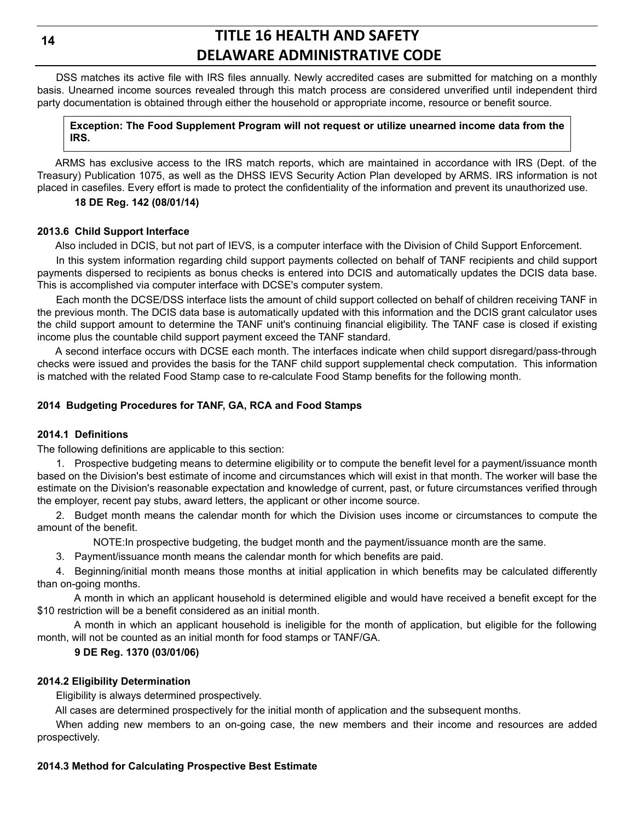DSS matches its active file with IRS files annually. Newly accredited cases are submitted for matching on a monthly basis. Unearned income sources revealed through this match process are considered unverified until independent third party documentation is obtained through either the household or appropriate income, resource or benefit source.

#### **Exception: The Food Supplement Program will not request or utilize unearned income data from the IRS.**

ARMS has exclusive access to the IRS match reports, which are maintained in accordance with IRS (Dept. of the Treasury) Publication 1075, as well as the DHSS IEVS Security Action Plan developed by ARMS. IRS information is not placed in casefiles. Every effort is made to protect the confidentiality of the information and prevent its unauthorized use.

### **18 DE Reg. 142 (08/01/14)**

### **2013.6 Child Support Interface**

Also included in DCIS, but not part of IEVS, is a computer interface with the Division of Child Support Enforcement.

In this system information regarding child support payments collected on behalf of TANF recipients and child support payments dispersed to recipients as bonus checks is entered into DCIS and automatically updates the DCIS data base. This is accomplished via computer interface with DCSE's computer system.

Each month the DCSE/DSS interface lists the amount of child support collected on behalf of children receiving TANF in the previous month. The DCIS data base is automatically updated with this information and the DCIS grant calculator uses the child support amount to determine the TANF unit's continuing financial eligibility. The TANF case is closed if existing income plus the countable child support payment exceed the TANF standard.

A second interface occurs with DCSE each month. The interfaces indicate when child support disregard/pass-through checks were issued and provides the basis for the TANF child support supplemental check computation. This information is matched with the related Food Stamp case to re-calculate Food Stamp benefits for the following month.

### **2014 Budgeting Procedures for TANF, GA, RCA and Food Stamps**

### **2014.1 Definitions**

The following definitions are applicable to this section:

1. Prospective budgeting means to determine eligibility or to compute the benefit level for a payment/issuance month based on the Division's best estimate of income and circumstances which will exist in that month. The worker will base the estimate on the Division's reasonable expectation and knowledge of current, past, or future circumstances verified through the employer, recent pay stubs, award letters, the applicant or other income source.

2. Budget month means the calendar month for which the Division uses income or circumstances to compute the amount of the benefit.

NOTE:In prospective budgeting, the budget month and the payment/issuance month are the same.

3. Payment/issuance month means the calendar month for which benefits are paid.

4. Beginning/initial month means those months at initial application in which benefits may be calculated differently than on-going months.

A month in which an applicant household is determined eligible and would have received a benefit except for the \$10 restriction will be a benefit considered as an initial month.

A month in which an applicant household is ineligible for the month of application, but eligible for the following month, will not be counted as an initial month for food stamps or TANF/GA.

### **9 DE Reg. 1370 (03/01/06)**

### **2014.2 Eligibility Determination**

Eligibility is always determined prospectively.

All cases are determined prospectively for the initial month of application and the subsequent months.

When adding new members to an on-going case, the new members and their income and resources are added prospectively.

### **2014.3 Method for Calculating Prospective Best Estimate**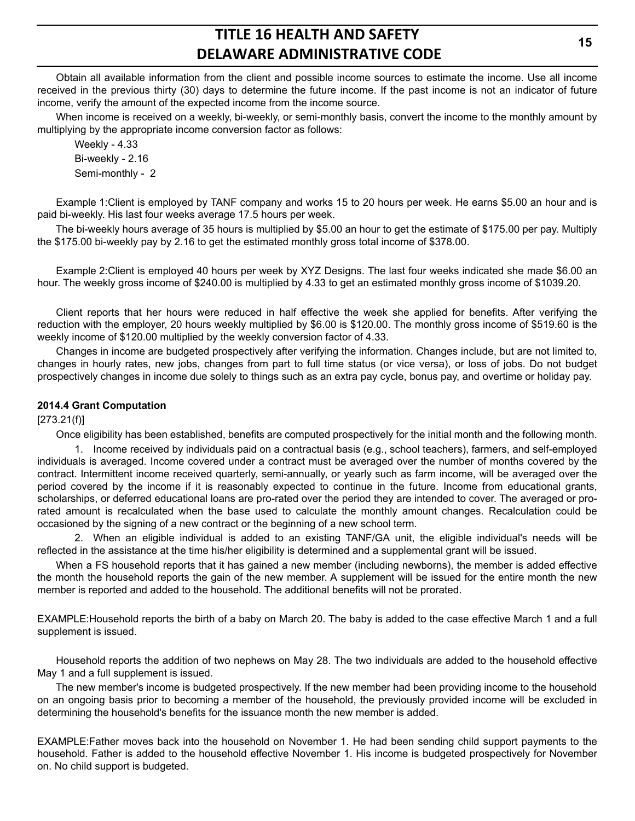Obtain all available information from the client and possible income sources to estimate the income. Use all income received in the previous thirty (30) days to determine the future income. If the past income is not an indicator of future income, verify the amount of the expected income from the income source.

When income is received on a weekly, bi-weekly, or semi-monthly basis, convert the income to the monthly amount by multiplying by the appropriate income conversion factor as follows:

Weekly - 4.33 Bi-weekly - 2.16 Semi-monthly - 2

Example 1:Client is employed by TANF company and works 15 to 20 hours per week. He earns \$5.00 an hour and is paid bi-weekly. His last four weeks average 17.5 hours per week.

The bi-weekly hours average of 35 hours is multiplied by \$5.00 an hour to get the estimate of \$175.00 per pay. Multiply the \$175.00 bi-weekly pay by 2.16 to get the estimated monthly gross total income of \$378.00.

Example 2:Client is employed 40 hours per week by XYZ Designs. The last four weeks indicated she made \$6.00 an hour. The weekly gross income of \$240.00 is multiplied by 4.33 to get an estimated monthly gross income of \$1039.20.

Client reports that her hours were reduced in half effective the week she applied for benefits. After verifying the reduction with the employer, 20 hours weekly multiplied by \$6.00 is \$120.00. The monthly gross income of \$519.60 is the weekly income of \$120.00 multiplied by the weekly conversion factor of 4.33.

Changes in income are budgeted prospectively after verifying the information. Changes include, but are not limited to, changes in hourly rates, new jobs, changes from part to full time status (or vice versa), or loss of jobs. Do not budget prospectively changes in income due solely to things such as an extra pay cycle, bonus pay, and overtime or holiday pay.

### **2014.4 Grant Computation**

[273.21(f)]

Once eligibility has been established, benefits are computed prospectively for the initial month and the following month.

1. Income received by individuals paid on a contractual basis (e.g., school teachers), farmers, and self-employed individuals is averaged. Income covered under a contract must be averaged over the number of months covered by the contract. Intermittent income received quarterly, semi-annually, or yearly such as farm income, will be averaged over the period covered by the income if it is reasonably expected to continue in the future. Income from educational grants, scholarships, or deferred educational loans are pro-rated over the period they are intended to cover. The averaged or prorated amount is recalculated when the base used to calculate the monthly amount changes. Recalculation could be occasioned by the signing of a new contract or the beginning of a new school term.

2. When an eligible individual is added to an existing TANF/GA unit, the eligible individual's needs will be reflected in the assistance at the time his/her eligibility is determined and a supplemental grant will be issued.

When a FS household reports that it has gained a new member (including newborns), the member is added effective the month the household reports the gain of the new member. A supplement will be issued for the entire month the new member is reported and added to the household. The additional benefits will not be prorated.

EXAMPLE:Household reports the birth of a baby on March 20. The baby is added to the case effective March 1 and a full supplement is issued.

Household reports the addition of two nephews on May 28. The two individuals are added to the household effective May 1 and a full supplement is issued.

The new member's income is budgeted prospectively. If the new member had been providing income to the household on an ongoing basis prior to becoming a member of the household, the previously provided income will be excluded in determining the household's benefits for the issuance month the new member is added.

EXAMPLE:Father moves back into the household on November 1. He had been sending child support payments to the household. Father is added to the household effective November 1. His income is budgeted prospectively for November on. No child support is budgeted.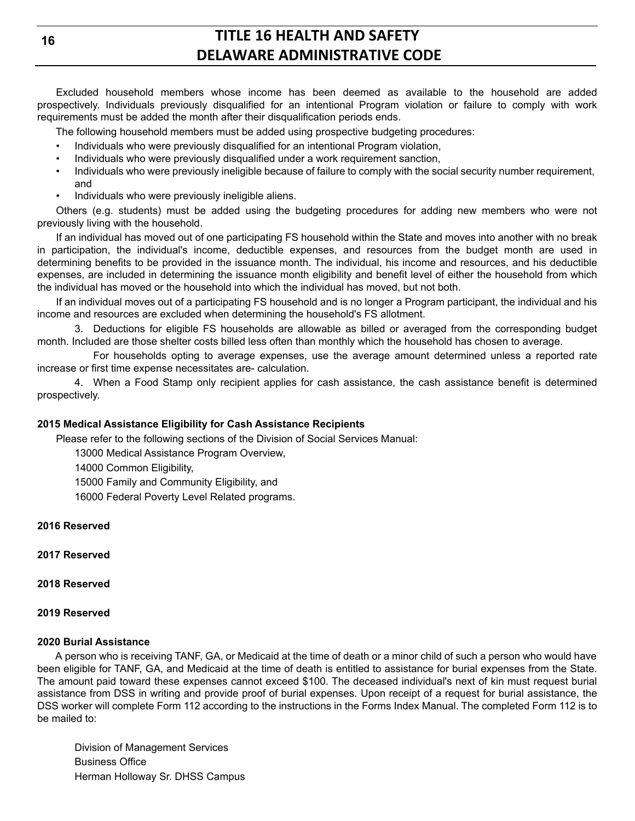Excluded household members whose income has been deemed as available to the household are added prospectively. Individuals previously disqualified for an intentional Program violation or failure to comply with work requirements must be added the month after their disqualification periods ends.

The following household members must be added using prospective budgeting procedures:

- Individuals who were previously disqualified for an intentional Program violation,
- Individuals who were previously disqualified under a work requirement sanction,
- Individuals who were previously ineligible because of failure to comply with the social security number requirement, and
- Individuals who were previously ineligible aliens.

Others (e.g. students) must be added using the budgeting procedures for adding new members who were not previously living with the household.

If an individual has moved out of one participating FS household within the State and moves into another with no break in participation, the individual's income, deductible expenses, and resources from the budget month are used in determining benefits to be provided in the issuance month. The individual, his income and resources, and his deductible expenses, are included in determining the issuance month eligibility and benefit level of either the household from which the individual has moved or the household into which the individual has moved, but not both.

If an individual moves out of a participating FS household and is no longer a Program participant, the individual and his income and resources are excluded when determining the household's FS allotment.

3. Deductions for eligible FS households are allowable as billed or averaged from the corresponding budget month. Included are those shelter costs billed less often than monthly which the household has chosen to average.

For households opting to average expenses, use the average amount determined unless a reported rate increase or first time expense necessitates are- calculation.

4. When a Food Stamp only recipient applies for cash assistance, the cash assistance benefit is determined prospectively.

#### **2015 Medical Assistance Eligibility for Cash Assistance Recipients**

Please refer to the following sections of the Division of Social Services Manual:

13000 Medical Assistance Program Overview,

14000 Common Eligibility,

15000 Family and Community Eligibility, and

16000 Federal Poverty Level Related programs.

#### **2016 Reserved**

**2017 Reserved**

#### **2018 Reserved**

#### **2019 Reserved**

#### **2020 Burial Assistance**

A person who is receiving TANF, GA, or Medicaid at the time of death or a minor child of such a person who would have been eligible for TANF, GA, and Medicaid at the time of death is entitled to assistance for burial expenses from the State. The amount paid toward these expenses cannot exceed \$100. The deceased individual's next of kin must request burial assistance from DSS in writing and provide proof of burial expenses. Upon receipt of a request for burial assistance, the DSS worker will complete Form 112 according to the instructions in the Forms Index Manual. The completed Form 112 is to be mailed to:

Division of Management Services Business Office Herman Holloway Sr. DHSS Campus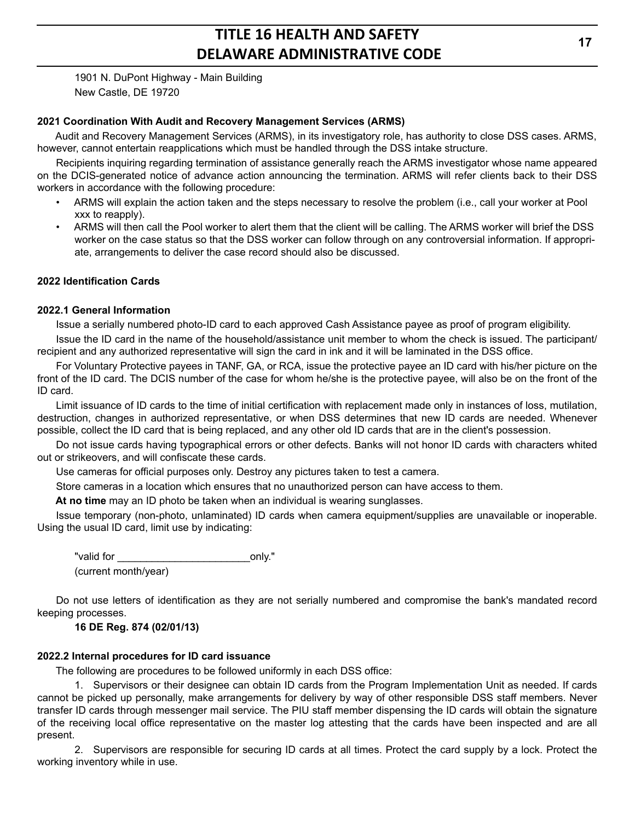1901 N. DuPont Highway - Main Building New Castle, DE 19720

#### **2021 Coordination With Audit and Recovery Management Services (ARMS)**

Audit and Recovery Management Services (ARMS), in its investigatory role, has authority to close DSS cases. ARMS, however, cannot entertain reapplications which must be handled through the DSS intake structure.

Recipients inquiring regarding termination of assistance generally reach the ARMS investigator whose name appeared on the DCIS-generated notice of advance action announcing the termination. ARMS will refer clients back to their DSS workers in accordance with the following procedure:

- ARMS will explain the action taken and the steps necessary to resolve the problem (i.e., call your worker at Pool xxx to reapply).
- ARMS will then call the Pool worker to alert them that the client will be calling. The ARMS worker will brief the DSS worker on the case status so that the DSS worker can follow through on any controversial information. If appropriate, arrangements to deliver the case record should also be discussed.

### **2022 Identification Cards**

#### **2022.1 General Information**

Issue a serially numbered photo-ID card to each approved Cash Assistance payee as proof of program eligibility.

Issue the ID card in the name of the household/assistance unit member to whom the check is issued. The participant/ recipient and any authorized representative will sign the card in ink and it will be laminated in the DSS office.

For Voluntary Protective payees in TANF, GA, or RCA, issue the protective payee an ID card with his/her picture on the front of the ID card. The DCIS number of the case for whom he/she is the protective payee, will also be on the front of the ID card.

Limit issuance of ID cards to the time of initial certification with replacement made only in instances of loss, mutilation, destruction, changes in authorized representative, or when DSS determines that new ID cards are needed. Whenever possible, collect the ID card that is being replaced, and any other old ID cards that are in the client's possession.

Do not issue cards having typographical errors or other defects. Banks will not honor ID cards with characters whited out or strikeovers, and will confiscate these cards.

Use cameras for official purposes only. Destroy any pictures taken to test a camera.

Store cameras in a location which ensures that no unauthorized person can have access to them.

**At no time** may an ID photo be taken when an individual is wearing sunglasses.

Issue temporary (non-photo, unlaminated) ID cards when camera equipment/supplies are unavailable or inoperable. Using the usual ID card, limit use by indicating:

"valid for \_\_\_\_\_\_\_\_\_\_\_\_\_\_\_\_\_\_\_\_\_\_\_only." (current month/year)

Do not use letters of identification as they are not serially numbered and compromise the bank's mandated record keeping processes.

### **16 DE Reg. 874 (02/01/13)**

## **2022.2 Internal procedures for ID card issuance**

The following are procedures to be followed uniformly in each DSS office:

1. Supervisors or their designee can obtain ID cards from the Program Implementation Unit as needed. If cards cannot be picked up personally, make arrangements for delivery by way of other responsible DSS staff members. Never transfer ID cards through messenger mail service. The PIU staff member dispensing the ID cards will obtain the signature of the receiving local office representative on the master log attesting that the cards have been inspected and are all present.

2. Supervisors are responsible for securing ID cards at all times. Protect the card supply by a lock. Protect the working inventory while in use.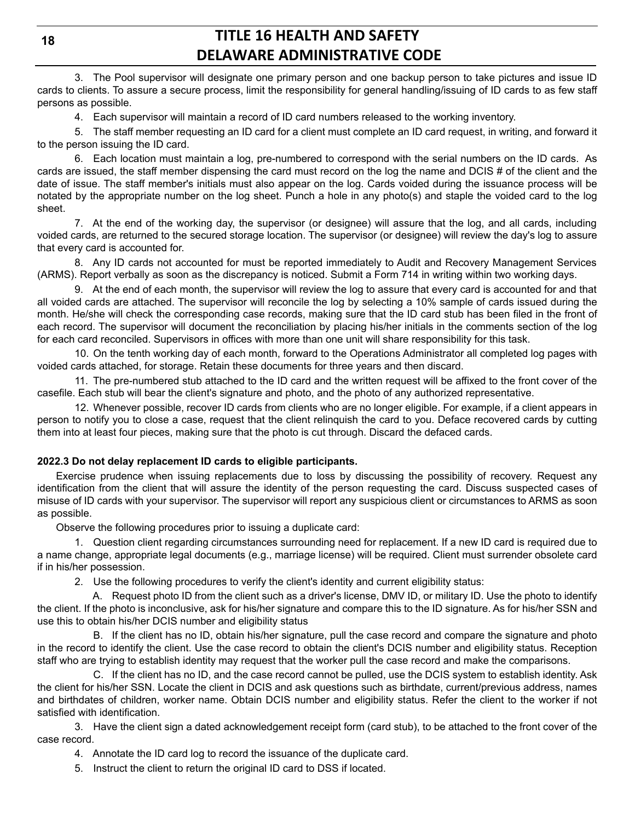3. The Pool supervisor will designate one primary person and one backup person to take pictures and issue ID cards to clients. To assure a secure process, limit the responsibility for general handling/issuing of ID cards to as few staff persons as possible.

4. Each supervisor will maintain a record of ID card numbers released to the working inventory.

5. The staff member requesting an ID card for a client must complete an ID card request, in writing, and forward it to the person issuing the ID card.

6. Each location must maintain a log, pre-numbered to correspond with the serial numbers on the ID cards. As cards are issued, the staff member dispensing the card must record on the log the name and DCIS # of the client and the date of issue. The staff member's initials must also appear on the log. Cards voided during the issuance process will be notated by the appropriate number on the log sheet. Punch a hole in any photo(s) and staple the voided card to the log sheet.

7. At the end of the working day, the supervisor (or designee) will assure that the log, and all cards, including voided cards, are returned to the secured storage location. The supervisor (or designee) will review the day's log to assure that every card is accounted for.

8. Any ID cards not accounted for must be reported immediately to Audit and Recovery Management Services (ARMS). Report verbally as soon as the discrepancy is noticed. Submit a Form 714 in writing within two working days.

9. At the end of each month, the supervisor will review the log to assure that every card is accounted for and that all voided cards are attached. The supervisor will reconcile the log by selecting a 10% sample of cards issued during the month. He/she will check the corresponding case records, making sure that the ID card stub has been filed in the front of each record. The supervisor will document the reconciliation by placing his/her initials in the comments section of the log for each card reconciled. Supervisors in offices with more than one unit will share responsibility for this task.

10. On the tenth working day of each month, forward to the Operations Administrator all completed log pages with voided cards attached, for storage. Retain these documents for three years and then discard.

11. The pre-numbered stub attached to the ID card and the written request will be affixed to the front cover of the casefile. Each stub will bear the client's signature and photo, and the photo of any authorized representative.

12. Whenever possible, recover ID cards from clients who are no longer eligible. For example, if a client appears in person to notify you to close a case, request that the client relinquish the card to you. Deface recovered cards by cutting them into at least four pieces, making sure that the photo is cut through. Discard the defaced cards.

### **2022.3 Do not delay replacement ID cards to eligible participants.**

Exercise prudence when issuing replacements due to loss by discussing the possibility of recovery. Request any identification from the client that will assure the identity of the person requesting the card. Discuss suspected cases of misuse of ID cards with your supervisor. The supervisor will report any suspicious client or circumstances to ARMS as soon as possible.

Observe the following procedures prior to issuing a duplicate card:

1. Question client regarding circumstances surrounding need for replacement. If a new ID card is required due to a name change, appropriate legal documents (e.g., marriage license) will be required. Client must surrender obsolete card if in his/her possession.

2. Use the following procedures to verify the client's identity and current eligibility status:

A. Request photo ID from the client such as a driver's license, DMV ID, or military ID. Use the photo to identify the client. If the photo is inconclusive, ask for his/her signature and compare this to the ID signature. As for his/her SSN and use this to obtain his/her DCIS number and eligibility status

B. If the client has no ID, obtain his/her signature, pull the case record and compare the signature and photo in the record to identify the client. Use the case record to obtain the client's DCIS number and eligibility status. Reception staff who are trying to establish identity may request that the worker pull the case record and make the comparisons.

C. If the client has no ID, and the case record cannot be pulled, use the DCIS system to establish identity. Ask the client for his/her SSN. Locate the client in DCIS and ask questions such as birthdate, current/previous address, names and birthdates of children, worker name. Obtain DCIS number and eligibility status. Refer the client to the worker if not satisfied with identification.

3. Have the client sign a dated acknowledgement receipt form (card stub), to be attached to the front cover of the case record.

- 4. Annotate the ID card log to record the issuance of the duplicate card.
- 5. Instruct the client to return the original ID card to DSS if located.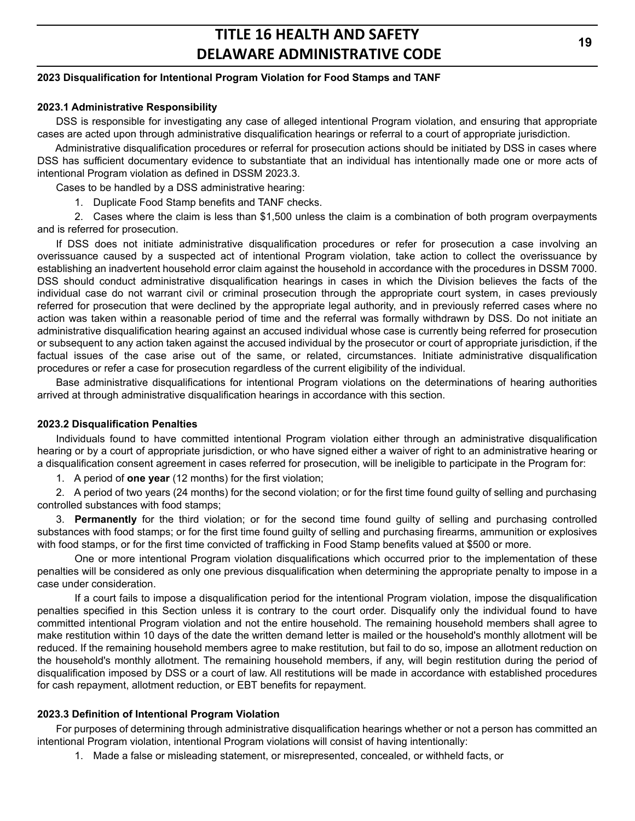### **2023 Disqualification for Intentional Program Violation for Food Stamps and TANF**

#### **2023.1 Administrative Responsibility**

DSS is responsible for investigating any case of alleged intentional Program violation, and ensuring that appropriate cases are acted upon through administrative disqualification hearings or referral to a court of appropriate jurisdiction.

Administrative disqualification procedures or referral for prosecution actions should be initiated by DSS in cases where DSS has sufficient documentary evidence to substantiate that an individual has intentionally made one or more acts of intentional Program violation as defined in DSSM 2023.3.

Cases to be handled by a DSS administrative hearing:

1. Duplicate Food Stamp benefits and TANF checks.

2. Cases where the claim is less than \$1,500 unless the claim is a combination of both program overpayments and is referred for prosecution.

If DSS does not initiate administrative disqualification procedures or refer for prosecution a case involving an overissuance caused by a suspected act of intentional Program violation, take action to collect the overissuance by establishing an inadvertent household error claim against the household in accordance with the procedures in DSSM 7000. DSS should conduct administrative disqualification hearings in cases in which the Division believes the facts of the individual case do not warrant civil or criminal prosecution through the appropriate court system, in cases previously referred for prosecution that were declined by the appropriate legal authority, and in previously referred cases where no action was taken within a reasonable period of time and the referral was formally withdrawn by DSS. Do not initiate an administrative disqualification hearing against an accused individual whose case is currently being referred for prosecution or subsequent to any action taken against the accused individual by the prosecutor or court of appropriate jurisdiction, if the factual issues of the case arise out of the same, or related, circumstances. Initiate administrative disqualification procedures or refer a case for prosecution regardless of the current eligibility of the individual.

Base administrative disqualifications for intentional Program violations on the determinations of hearing authorities arrived at through administrative disqualification hearings in accordance with this section.

#### **2023.2 Disqualification Penalties**

Individuals found to have committed intentional Program violation either through an administrative disqualification hearing or by a court of appropriate jurisdiction, or who have signed either a waiver of right to an administrative hearing or a disqualification consent agreement in cases referred for prosecution, will be ineligible to participate in the Program for:

1. A period of **one year** (12 months) for the first violation;

2. A period of two years (24 months) for the second violation; or for the first time found guilty of selling and purchasing controlled substances with food stamps;

3. **Permanently** for the third violation; or for the second time found guilty of selling and purchasing controlled substances with food stamps; or for the first time found guilty of selling and purchasing firearms, ammunition or explosives with food stamps, or for the first time convicted of trafficking in Food Stamp benefits valued at \$500 or more.

One or more intentional Program violation disqualifications which occurred prior to the implementation of these penalties will be considered as only one previous disqualification when determining the appropriate penalty to impose in a case under consideration.

If a court fails to impose a disqualification period for the intentional Program violation, impose the disqualification penalties specified in this Section unless it is contrary to the court order. Disqualify only the individual found to have committed intentional Program violation and not the entire household. The remaining household members shall agree to make restitution within 10 days of the date the written demand letter is mailed or the household's monthly allotment will be reduced. If the remaining household members agree to make restitution, but fail to do so, impose an allotment reduction on the household's monthly allotment. The remaining household members, if any, will begin restitution during the period of disqualification imposed by DSS or a court of law. All restitutions will be made in accordance with established procedures for cash repayment, allotment reduction, or EBT benefits for repayment.

### **2023.3 Definition of Intentional Program Violation**

For purposes of determining through administrative disqualification hearings whether or not a person has committed an intentional Program violation, intentional Program violations will consist of having intentionally:

1. Made a false or misleading statement, or misrepresented, concealed, or withheld facts, or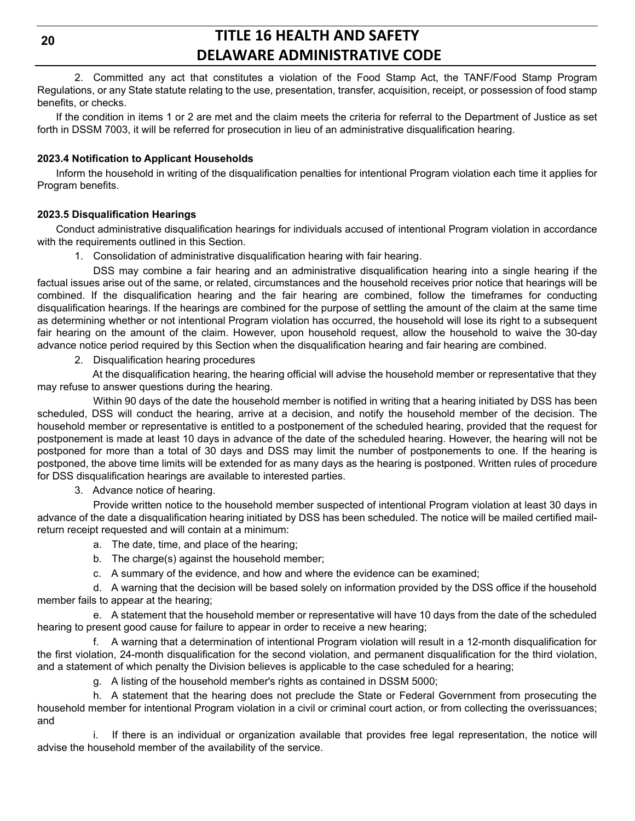2. Committed any act that constitutes a violation of the Food Stamp Act, the TANF/Food Stamp Program Regulations, or any State statute relating to the use, presentation, transfer, acquisition, receipt, or possession of food stamp benefits, or checks.

If the condition in items 1 or 2 are met and the claim meets the criteria for referral to the Department of Justice as set forth in DSSM 7003, it will be referred for prosecution in lieu of an administrative disqualification hearing.

### **2023.4 Notification to Applicant Households**

Inform the household in writing of the disqualification penalties for intentional Program violation each time it applies for Program benefits.

### **2023.5 Disqualification Hearings**

Conduct administrative disqualification hearings for individuals accused of intentional Program violation in accordance with the requirements outlined in this Section.

1. Consolidation of administrative disqualification hearing with fair hearing.

DSS may combine a fair hearing and an administrative disqualification hearing into a single hearing if the factual issues arise out of the same, or related, circumstances and the household receives prior notice that hearings will be combined. If the disqualification hearing and the fair hearing are combined, follow the timeframes for conducting disqualification hearings. If the hearings are combined for the purpose of settling the amount of the claim at the same time as determining whether or not intentional Program violation has occurred, the household will lose its right to a subsequent fair hearing on the amount of the claim. However, upon household request, allow the household to waive the 30-day advance notice period required by this Section when the disqualification hearing and fair hearing are combined.

2. Disqualification hearing procedures

At the disqualification hearing, the hearing official will advise the household member or representative that they may refuse to answer questions during the hearing.

Within 90 days of the date the household member is notified in writing that a hearing initiated by DSS has been scheduled, DSS will conduct the hearing, arrive at a decision, and notify the household member of the decision. The household member or representative is entitled to a postponement of the scheduled hearing, provided that the request for postponement is made at least 10 days in advance of the date of the scheduled hearing. However, the hearing will not be postponed for more than a total of 30 days and DSS may limit the number of postponements to one. If the hearing is postponed, the above time limits will be extended for as many days as the hearing is postponed. Written rules of procedure for DSS disqualification hearings are available to interested parties.

3. Advance notice of hearing.

Provide written notice to the household member suspected of intentional Program violation at least 30 days in advance of the date a disqualification hearing initiated by DSS has been scheduled. The notice will be mailed certified mailreturn receipt requested and will contain at a minimum:

- a. The date, time, and place of the hearing;
- b. The charge(s) against the household member;
- c. A summary of the evidence, and how and where the evidence can be examined;

d. A warning that the decision will be based solely on information provided by the DSS office if the household member fails to appear at the hearing;

e. A statement that the household member or representative will have 10 days from the date of the scheduled hearing to present good cause for failure to appear in order to receive a new hearing;

f. A warning that a determination of intentional Program violation will result in a 12-month disqualification for the first violation, 24-month disqualification for the second violation, and permanent disqualification for the third violation, and a statement of which penalty the Division believes is applicable to the case scheduled for a hearing;

g. A listing of the household member's rights as contained in DSSM 5000;

h. A statement that the hearing does not preclude the State or Federal Government from prosecuting the household member for intentional Program violation in a civil or criminal court action, or from collecting the overissuances; and

i. If there is an individual or organization available that provides free legal representation, the notice will advise the household member of the availability of the service.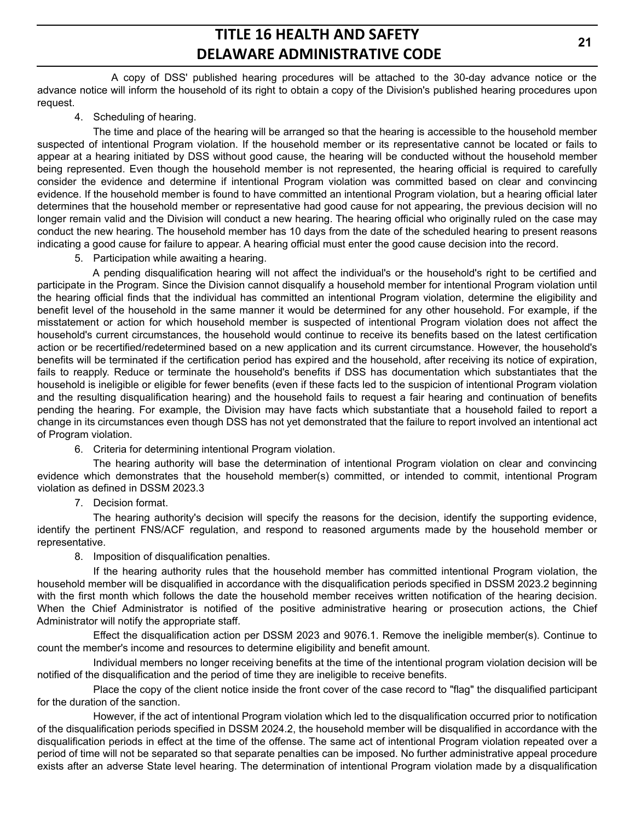A copy of DSS' published hearing procedures will be attached to the 30-day advance notice or the advance notice will inform the household of its right to obtain a copy of the Division's published hearing procedures upon request.

4. Scheduling of hearing.

The time and place of the hearing will be arranged so that the hearing is accessible to the household member suspected of intentional Program violation. If the household member or its representative cannot be located or fails to appear at a hearing initiated by DSS without good cause, the hearing will be conducted without the household member being represented. Even though the household member is not represented, the hearing official is required to carefully consider the evidence and determine if intentional Program violation was committed based on clear and convincing evidence. If the household member is found to have committed an intentional Program violation, but a hearing official later determines that the household member or representative had good cause for not appearing, the previous decision will no longer remain valid and the Division will conduct a new hearing. The hearing official who originally ruled on the case may conduct the new hearing. The household member has 10 days from the date of the scheduled hearing to present reasons indicating a good cause for failure to appear. A hearing official must enter the good cause decision into the record.

5. Participation while awaiting a hearing.

A pending disqualification hearing will not affect the individual's or the household's right to be certified and participate in the Program. Since the Division cannot disqualify a household member for intentional Program violation until the hearing official finds that the individual has committed an intentional Program violation, determine the eligibility and benefit level of the household in the same manner it would be determined for any other household. For example, if the misstatement or action for which household member is suspected of intentional Program violation does not affect the household's current circumstances, the household would continue to receive its benefits based on the latest certification action or be recertified/redetermined based on a new application and its current circumstance. However, the household's benefits will be terminated if the certification period has expired and the household, after receiving its notice of expiration, fails to reapply. Reduce or terminate the household's benefits if DSS has documentation which substantiates that the household is ineligible or eligible for fewer benefits (even if these facts led to the suspicion of intentional Program violation and the resulting disqualification hearing) and the household fails to request a fair hearing and continuation of benefits pending the hearing. For example, the Division may have facts which substantiate that a household failed to report a change in its circumstances even though DSS has not yet demonstrated that the failure to report involved an intentional act of Program violation.

6. Criteria for determining intentional Program violation.

The hearing authority will base the determination of intentional Program violation on clear and convincing evidence which demonstrates that the household member(s) committed, or intended to commit, intentional Program violation as defined in DSSM 2023.3

7. Decision format.

The hearing authority's decision will specify the reasons for the decision, identify the supporting evidence, identify the pertinent FNS/ACF regulation, and respond to reasoned arguments made by the household member or representative.

8. Imposition of disqualification penalties.

If the hearing authority rules that the household member has committed intentional Program violation, the household member will be disqualified in accordance with the disqualification periods specified in DSSM 2023.2 beginning with the first month which follows the date the household member receives written notification of the hearing decision. When the Chief Administrator is notified of the positive administrative hearing or prosecution actions, the Chief Administrator will notify the appropriate staff.

Effect the disqualification action per DSSM 2023 and 9076.1. Remove the ineligible member(s). Continue to count the member's income and resources to determine eligibility and benefit amount.

Individual members no longer receiving benefits at the time of the intentional program violation decision will be notified of the disqualification and the period of time they are ineligible to receive benefits.

Place the copy of the client notice inside the front cover of the case record to "flag" the disqualified participant for the duration of the sanction.

However, if the act of intentional Program violation which led to the disqualification occurred prior to notification of the disqualification periods specified in DSSM 2024.2, the household member will be disqualified in accordance with the disqualification periods in effect at the time of the offense. The same act of intentional Program violation repeated over a period of time will not be separated so that separate penalties can be imposed. No further administrative appeal procedure exists after an adverse State level hearing. The determination of intentional Program violation made by a disqualification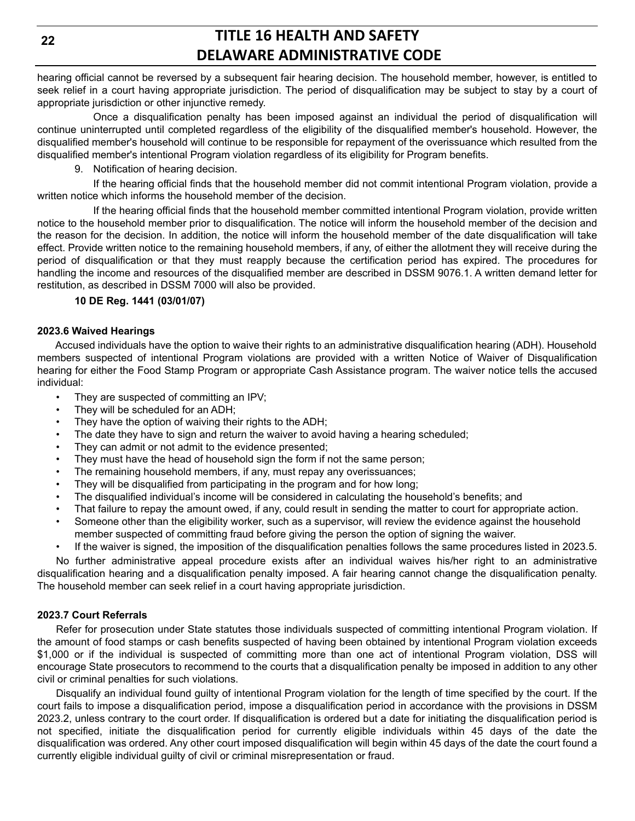hearing official cannot be reversed by a subsequent fair hearing decision. The household member, however, is entitled to seek relief in a court having appropriate jurisdiction. The period of disqualification may be subject to stay by a court of appropriate jurisdiction or other injunctive remedy.

Once a disqualification penalty has been imposed against an individual the period of disqualification will continue uninterrupted until completed regardless of the eligibility of the disqualified member's household. However, the disqualified member's household will continue to be responsible for repayment of the overissuance which resulted from the disqualified member's intentional Program violation regardless of its eligibility for Program benefits.

9. Notification of hearing decision.

If the hearing official finds that the household member did not commit intentional Program violation, provide a written notice which informs the household member of the decision.

If the hearing official finds that the household member committed intentional Program violation, provide written notice to the household member prior to disqualification. The notice will inform the household member of the decision and the reason for the decision. In addition, the notice will inform the household member of the date disqualification will take effect. Provide written notice to the remaining household members, if any, of either the allotment they will receive during the period of disqualification or that they must reapply because the certification period has expired. The procedures for handling the income and resources of the disqualified member are described in DSSM 9076.1. A written demand letter for restitution, as described in DSSM 7000 will also be provided.

### **10 DE Reg. 1441 (03/01/07)**

### **2023.6 Waived Hearings**

Accused individuals have the option to waive their rights to an administrative disqualification hearing (ADH). Household members suspected of intentional Program violations are provided with a written Notice of Waiver of Disqualification hearing for either the Food Stamp Program or appropriate Cash Assistance program. The waiver notice tells the accused individual:

- They are suspected of committing an IPV;
- They will be scheduled for an ADH;
- They have the option of waiving their rights to the ADH;
- The date they have to sign and return the waiver to avoid having a hearing scheduled;
- They can admit or not admit to the evidence presented;
- They must have the head of household sign the form if not the same person;
- The remaining household members, if any, must repay any overissuances;
- They will be disqualified from participating in the program and for how long;
- The disqualified individual's income will be considered in calculating the household's benefits; and
- That failure to repay the amount owed, if any, could result in sending the matter to court for appropriate action.
- Someone other than the eligibility worker, such as a supervisor, will review the evidence against the household member suspected of committing fraud before giving the person the option of signing the waiver.
- If the waiver is signed, the imposition of the disqualification penalties follows the same procedures listed in 2023.5.

No further administrative appeal procedure exists after an individual waives his/her right to an administrative disqualification hearing and a disqualification penalty imposed. A fair hearing cannot change the disqualification penalty. The household member can seek relief in a court having appropriate jurisdiction.

## **2023.7 Court Referrals**

Refer for prosecution under State statutes those individuals suspected of committing intentional Program violation. If the amount of food stamps or cash benefits suspected of having been obtained by intentional Program violation exceeds \$1,000 or if the individual is suspected of committing more than one act of intentional Program violation, DSS will encourage State prosecutors to recommend to the courts that a disqualification penalty be imposed in addition to any other civil or criminal penalties for such violations.

Disqualify an individual found guilty of intentional Program violation for the length of time specified by the court. If the court fails to impose a disqualification period, impose a disqualification period in accordance with the provisions in DSSM 2023.2, unless contrary to the court order. If disqualification is ordered but a date for initiating the disqualification period is not specified, initiate the disqualification period for currently eligible individuals within 45 days of the date the disqualification was ordered. Any other court imposed disqualification will begin within 45 days of the date the court found a currently eligible individual guilty of civil or criminal misrepresentation or fraud.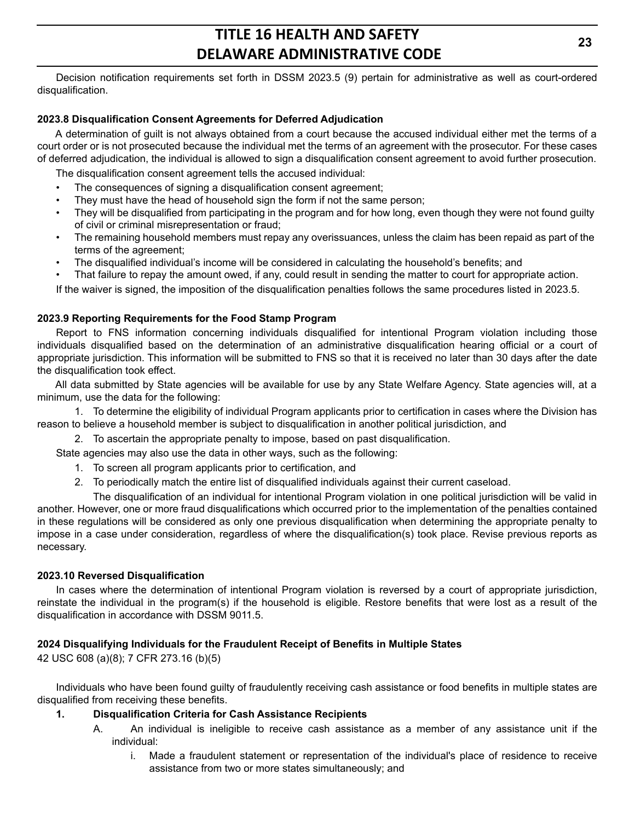Decision notification requirements set forth in DSSM 2023.5 (9) pertain for administrative as well as court-ordered disqualification.

### **2023.8 Disqualification Consent Agreements for Deferred Adjudication**

A determination of guilt is not always obtained from a court because the accused individual either met the terms of a court order or is not prosecuted because the individual met the terms of an agreement with the prosecutor. For these cases of deferred adjudication, the individual is allowed to sign a disqualification consent agreement to avoid further prosecution.

The disqualification consent agreement tells the accused individual:

- The consequences of signing a disqualification consent agreement;
- They must have the head of household sign the form if not the same person;
- They will be disqualified from participating in the program and for how long, even though they were not found guilty of civil or criminal misrepresentation or fraud;
- The remaining household members must repay any overissuances, unless the claim has been repaid as part of the terms of the agreement;
- The disqualified individual's income will be considered in calculating the household's benefits; and
- That failure to repay the amount owed, if any, could result in sending the matter to court for appropriate action.

If the waiver is signed, the imposition of the disqualification penalties follows the same procedures listed in 2023.5.

#### **2023.9 Reporting Requirements for the Food Stamp Program**

Report to FNS information concerning individuals disqualified for intentional Program violation including those individuals disqualified based on the determination of an administrative disqualification hearing official or a court of appropriate jurisdiction. This information will be submitted to FNS so that it is received no later than 30 days after the date the disqualification took effect.

All data submitted by State agencies will be available for use by any State Welfare Agency. State agencies will, at a minimum, use the data for the following:

1. To determine the eligibility of individual Program applicants prior to certification in cases where the Division has reason to believe a household member is subject to disqualification in another political jurisdiction, and

2. To ascertain the appropriate penalty to impose, based on past disqualification.

State agencies may also use the data in other ways, such as the following:

- 1. To screen all program applicants prior to certification, and
- 2. To periodically match the entire list of disqualified individuals against their current caseload.

The disqualification of an individual for intentional Program violation in one political jurisdiction will be valid in another. However, one or more fraud disqualifications which occurred prior to the implementation of the penalties contained in these regulations will be considered as only one previous disqualification when determining the appropriate penalty to impose in a case under consideration, regardless of where the disqualification(s) took place. Revise previous reports as necessary.

#### **2023.10 Reversed Disqualification**

In cases where the determination of intentional Program violation is reversed by a court of appropriate jurisdiction, reinstate the individual in the program(s) if the household is eligible. Restore benefits that were lost as a result of the disqualification in accordance with DSSM 9011.5.

### **2024 Disqualifying Individuals for the Fraudulent Receipt of Benefits in Multiple States**

42 USC 608 (a)(8); 7 CFR 273.16 (b)(5)

Individuals who have been found guilty of fraudulently receiving cash assistance or food benefits in multiple states are disqualified from receiving these benefits.

### **1. Disqualification Criteria for Cash Assistance Recipients**

- A. An individual is ineligible to receive cash assistance as a member of any assistance unit if the individual:
	- i. Made a fraudulent statement or representation of the individual's place of residence to receive assistance from two or more states simultaneously; and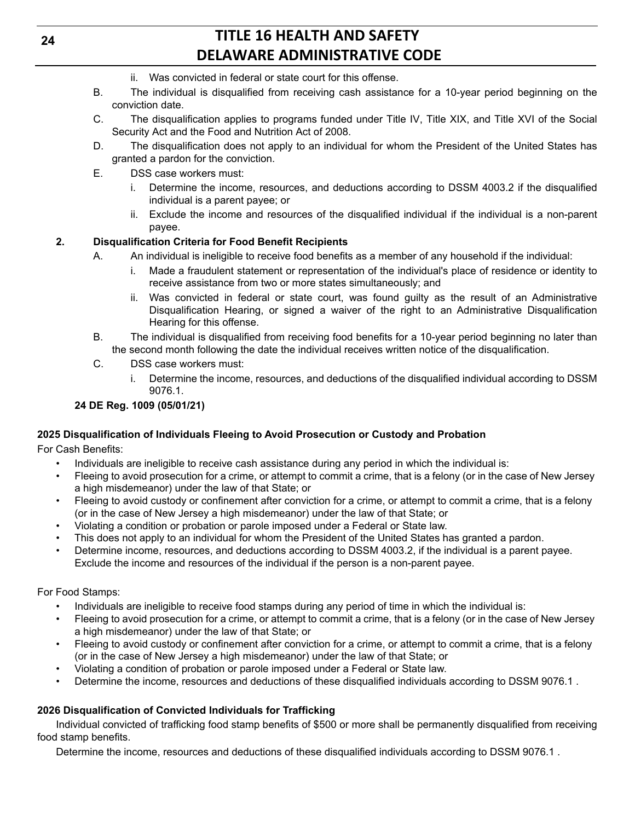- ii. Was convicted in federal or state court for this offense.
- B. The individual is disqualified from receiving cash assistance for a 10-year period beginning on the conviction date.
- C. The disqualification applies to programs funded under Title IV, Title XIX, and Title XVI of the Social Security Act and the Food and Nutrition Act of 2008.
- D. The disqualification does not apply to an individual for whom the President of the United States has granted a pardon for the conviction.
- E. DSS case workers must:
	- i. Determine the income, resources, and deductions according to DSSM 4003.2 if the disqualified individual is a parent payee; or
	- ii. Exclude the income and resources of the disqualified individual if the individual is a non-parent payee.

### **2. Disqualification Criteria for Food Benefit Recipients**

- A. An individual is ineligible to receive food benefits as a member of any household if the individual:
	- i. Made a fraudulent statement or representation of the individual's place of residence or identity to receive assistance from two or more states simultaneously; and
	- ii. Was convicted in federal or state court, was found guilty as the result of an Administrative Disqualification Hearing, or signed a waiver of the right to an Administrative Disqualification Hearing for this offense.
- B. The individual is disqualified from receiving food benefits for a 10-year period beginning no later than the second month following the date the individual receives written notice of the disqualification.
- C. DSS case workers must:
	- i. Determine the income, resources, and deductions of the disqualified individual according to DSSM 9076.1.

## **24 DE Reg. 1009 (05/01/21)**

## **2025 Disqualification of Individuals Fleeing to Avoid Prosecution or Custody and Probation**

For Cash Benefits:

- Individuals are ineligible to receive cash assistance during any period in which the individual is:
- Fleeing to avoid prosecution for a crime, or attempt to commit a crime, that is a felony (or in the case of New Jersey a high misdemeanor) under the law of that State; or
- Fleeing to avoid custody or confinement after conviction for a crime, or attempt to commit a crime, that is a felony (or in the case of New Jersey a high misdemeanor) under the law of that State; or
- Violating a condition or probation or parole imposed under a Federal or State law.
- This does not apply to an individual for whom the President of the United States has granted a pardon.
- Determine income, resources, and deductions according to DSSM 4003.2, if the individual is a parent payee. Exclude the income and resources of the individual if the person is a non-parent payee.

### For Food Stamps:

- Individuals are ineligible to receive food stamps during any period of time in which the individual is:
- Fleeing to avoid prosecution for a crime, or attempt to commit a crime, that is a felony (or in the case of New Jersey a high misdemeanor) under the law of that State; or
- Fleeing to avoid custody or confinement after conviction for a crime, or attempt to commit a crime, that is a felony (or in the case of New Jersey a high misdemeanor) under the law of that State; or
- Violating a condition of probation or parole imposed under a Federal or State law.
- Determine the income, resources and deductions of these disqualified individuals according to DSSM 9076.1 .

## **2026 Disqualification of Convicted Individuals for Trafficking**

Individual convicted of trafficking food stamp benefits of \$500 or more shall be permanently disqualified from receiving food stamp benefits.

Determine the income, resources and deductions of these disqualified individuals according to DSSM 9076.1 .